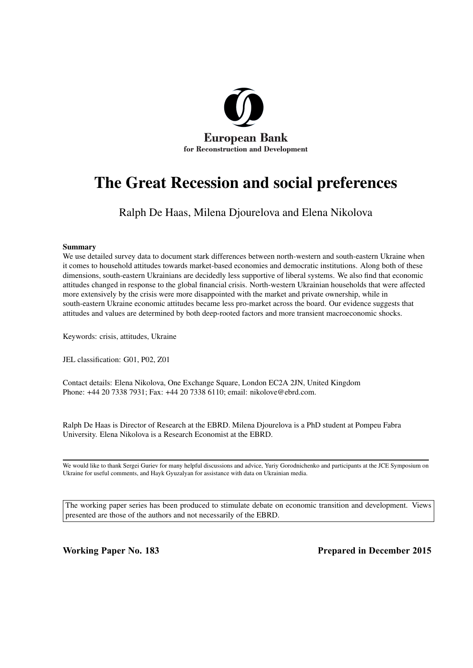

# The Great Recession and social preferences

Ralph De Haas, Milena Djourelova and Elena Nikolova

#### Summary

We use detailed survey data to document stark differences between north-western and south-eastern Ukraine when it comes to household attitudes towards market-based economies and democratic institutions. Along both of these dimensions, south-eastern Ukrainians are decidedly less supportive of liberal systems. We also find that economic attitudes changed in response to the global financial crisis. North-western Ukrainian households that were affected more extensively by the crisis were more disappointed with the market and private ownership, while in south-eastern Ukraine economic attitudes became less pro-market across the board. Our evidence suggests that attitudes and values are determined by both deep-rooted factors and more transient macroeconomic shocks.

Keywords: crisis, attitudes, Ukraine

JEL classification: G01, P02, Z01

Contact details: Elena Nikolova, One Exchange Square, London EC2A 2JN, United Kingdom Phone: +44 20 7338 7931; Fax: +44 20 7338 6110; email: nikolove@ebrd.com.

Ralph De Haas is Director of Research at the EBRD. Milena Djourelova is a PhD student at Pompeu Fabra University. Elena Nikolova is a Research Economist at the EBRD.

We would like to thank Sergei Guriev for many helpful discussions and advice, Yuriy Gorodnichenko and participants at the JCE Symposium on Ukraine for useful comments, and Hayk Gyuzalyan for assistance with data on Ukrainian media.

The working paper series has been produced to stimulate debate on economic transition and development. Views presented are those of the authors and not necessarily of the EBRD.

**Working Paper No. 183 Prepared in December 2015**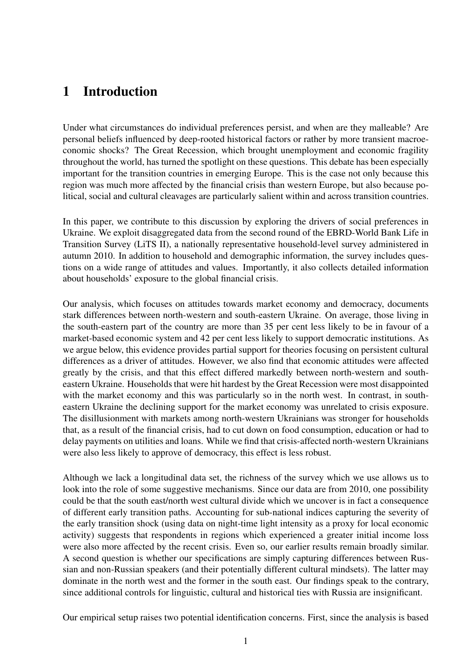## 1 Introduction

Under what circumstances do individual preferences persist, and when are they malleable? Are personal beliefs influenced by deep-rooted historical factors or rather by more transient macroeconomic shocks? The Great Recession, which brought unemployment and economic fragility throughout the world, has turned the spotlight on these questions. This debate has been especially important for the transition countries in emerging Europe. This is the case not only because this region was much more affected by the financial crisis than western Europe, but also because political, social and cultural cleavages are particularly salient within and across transition countries.

In this paper, we contribute to this discussion by exploring the drivers of social preferences in Ukraine. We exploit disaggregated data from the second round of the EBRD-World Bank Life in Transition Survey (LiTS II), a nationally representative household-level survey administered in autumn 2010. In addition to household and demographic information, the survey includes questions on a wide range of attitudes and values. Importantly, it also collects detailed information about households' exposure to the global financial crisis.

Our analysis, which focuses on attitudes towards market economy and democracy, documents stark differences between north-western and south-eastern Ukraine. On average, those living in the south-eastern part of the country are more than 35 per cent less likely to be in favour of a market-based economic system and 42 per cent less likely to support democratic institutions. As we argue below, this evidence provides partial support for theories focusing on persistent cultural differences as a driver of attitudes. However, we also find that economic attitudes were affected greatly by the crisis, and that this effect differed markedly between north-western and southeastern Ukraine. Households that were hit hardest by the Great Recession were most disappointed with the market economy and this was particularly so in the north west. In contrast, in southeastern Ukraine the declining support for the market economy was unrelated to crisis exposure. The disillusionment with markets among north-western Ukrainians was stronger for households that, as a result of the financial crisis, had to cut down on food consumption, education or had to delay payments on utilities and loans. While we find that crisis-affected north-western Ukrainians were also less likely to approve of democracy, this effect is less robust.

Although we lack a longitudinal data set, the richness of the survey which we use allows us to look into the role of some suggestive mechanisms. Since our data are from 2010, one possibility could be that the south east/north west cultural divide which we uncover is in fact a consequence of different early transition paths. Accounting for sub-national indices capturing the severity of the early transition shock (using data on night-time light intensity as a proxy for local economic activity) suggests that respondents in regions which experienced a greater initial income loss were also more affected by the recent crisis. Even so, our earlier results remain broadly similar. A second question is whether our specifications are simply capturing differences between Russian and non-Russian speakers (and their potentially different cultural mindsets). The latter may dominate in the north west and the former in the south east. Our findings speak to the contrary, since additional controls for linguistic, cultural and historical ties with Russia are insignificant.

Our empirical setup raises two potential identification concerns. First, since the analysis is based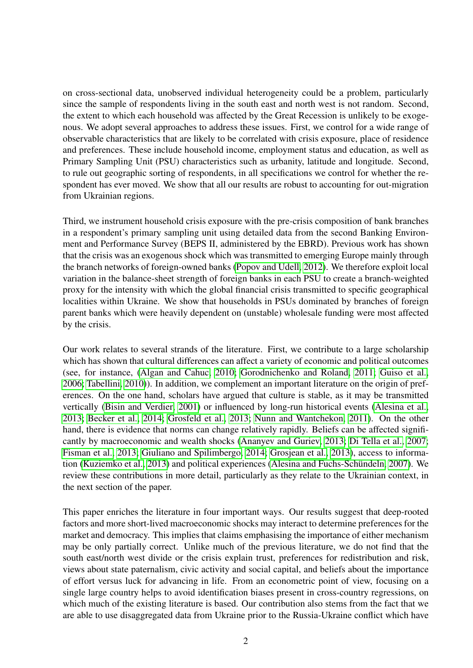on cross-sectional data, unobserved individual heterogeneity could be a problem, particularly since the sample of respondents living in the south east and north west is not random. Second, the extent to which each household was affected by the Great Recession is unlikely to be exogenous. We adopt several approaches to address these issues. First, we control for a wide range of observable characteristics that are likely to be correlated with crisis exposure, place of residence and preferences. These include household income, employment status and education, as well as Primary Sampling Unit (PSU) characteristics such as urbanity, latitude and longitude. Second, to rule out geographic sorting of respondents, in all specifications we control for whether the respondent has ever moved. We show that all our results are robust to accounting for out-migration from Ukrainian regions.

Third, we instrument household crisis exposure with the pre-crisis composition of bank branches in a respondent's primary sampling unit using detailed data from the second Banking Environment and Performance Survey (BEPS II, administered by the EBRD). Previous work has shown that the crisis was an exogenous shock which was transmitted to emerging Europe mainly through the branch networks of foreign-owned banks [\(Popov and Udell, 2012\)](#page-19-0). We therefore exploit local variation in the balance-sheet strength of foreign banks in each PSU to create a branch-weighted proxy for the intensity with which the global financial crisis transmitted to specific geographical localities within Ukraine. We show that households in PSUs dominated by branches of foreign parent banks which were heavily dependent on (unstable) wholesale funding were most affected by the crisis.

Our work relates to several strands of the literature. First, we contribute to a large scholarship which has shown that cultural differences can affect a variety of economic and political outcomes (see, for instance, [\(Algan and Cahuc, 2010;](#page-18-0) [Gorodnichenko and Roland, 2011;](#page-19-1) [Guiso et al.,](#page-19-2) [2006;](#page-19-2) [Tabellini, 2010\)](#page-20-0)). In addition, we complement an important literature on the origin of preferences. On the one hand, scholars have argued that culture is stable, as it may be transmitted vertically [\(Bisin and Verdier, 2001\)](#page-18-1) or influenced by long-run historical events [\(Alesina et al.,](#page-18-2) [2013;](#page-18-2) [Becker et al., 2014;](#page-18-3) [Grosfeld et al., 2013;](#page-19-3) [Nunn and Wantchekon, 2011\)](#page-19-4). On the other hand, there is evidence that norms can change relatively rapidly. Beliefs can be affected significantly by macroeconomic and wealth shocks [\(Ananyev and Guriev, 2013;](#page-18-4) [Di Tella et al., 2007;](#page-18-5) [Fisman et al., 2013;](#page-18-6) [Giuliano and Spilimbergo, 2014;](#page-18-7) [Grosjean et al., 2013\)](#page-19-5), access to informa-tion [\(Kuziemko et al., 2013\)](#page-19-6) and political experiences (Alesina and Fuchs-Schündeln, 2007). We review these contributions in more detail, particularly as they relate to the Ukrainian context, in the next section of the paper.

This paper enriches the literature in four important ways. Our results suggest that deep-rooted factors and more short-lived macroeconomic shocks may interact to determine preferences for the market and democracy. This implies that claims emphasising the importance of either mechanism may be only partially correct. Unlike much of the previous literature, we do not find that the south east/north west divide or the crisis explain trust, preferences for redistribution and risk, views about state paternalism, civic activity and social capital, and beliefs about the importance of effort versus luck for advancing in life. From an econometric point of view, focusing on a single large country helps to avoid identification biases present in cross-country regressions, on which much of the existing literature is based. Our contribution also stems from the fact that we are able to use disaggregated data from Ukraine prior to the Russia-Ukraine conflict which have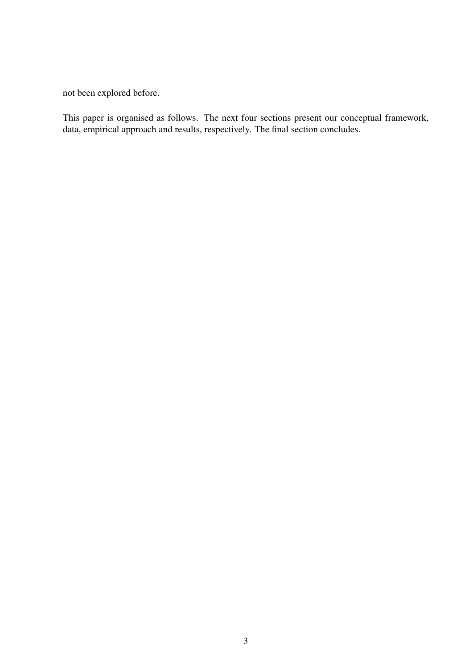not been explored before.

This paper is organised as follows. The next four sections present our conceptual framework, data, empirical approach and results, respectively. The final section concludes.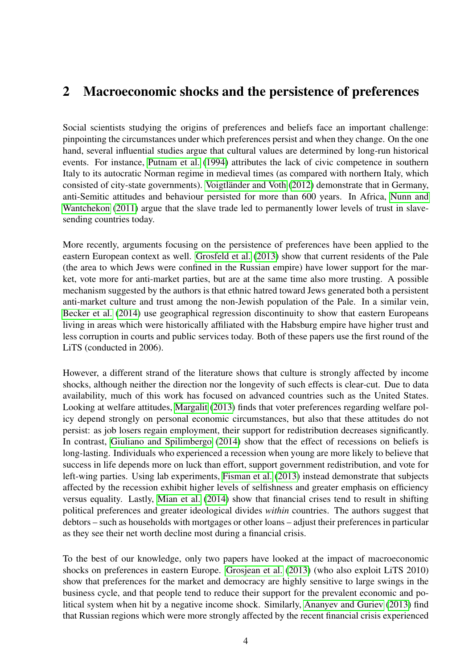## 2 Macroeconomic shocks and the persistence of preferences

Social scientists studying the origins of preferences and beliefs face an important challenge: pinpointing the circumstances under which preferences persist and when they change. On the one hand, several influential studies argue that cultural values are determined by long-run historical events. For instance, [Putnam et al.](#page-19-7) [\(1994\)](#page-19-7) attributes the lack of civic competence in southern Italy to its autocratic Norman regime in medieval times (as compared with northern Italy, which consisted of city-state governments). Voigtländer and Voth [\(2012\)](#page-20-1) demonstrate that in Germany, anti-Semitic attitudes and behaviour persisted for more than 600 years. In Africa, [Nunn and](#page-19-4) [Wantchekon](#page-19-4) [\(2011\)](#page-19-4) argue that the slave trade led to permanently lower levels of trust in slavesending countries today.

More recently, arguments focusing on the persistence of preferences have been applied to the eastern European context as well. [Grosfeld et al.](#page-19-3) [\(2013\)](#page-19-3) show that current residents of the Pale (the area to which Jews were confined in the Russian empire) have lower support for the market, vote more for anti-market parties, but are at the same time also more trusting. A possible mechanism suggested by the authors is that ethnic hatred toward Jews generated both a persistent anti-market culture and trust among the non-Jewish population of the Pale. In a similar vein, [Becker et al.](#page-18-3) [\(2014\)](#page-18-3) use geographical regression discontinuity to show that eastern Europeans living in areas which were historically affiliated with the Habsburg empire have higher trust and less corruption in courts and public services today. Both of these papers use the first round of the LiTS (conducted in 2006).

However, a different strand of the literature shows that culture is strongly affected by income shocks, although neither the direction nor the longevity of such effects is clear-cut. Due to data availability, much of this work has focused on advanced countries such as the United States. Looking at welfare attitudes, [Margalit](#page-19-8) [\(2013\)](#page-19-8) finds that voter preferences regarding welfare policy depend strongly on personal economic circumstances, but also that these attitudes do not persist: as job losers regain employment, their support for redistribution decreases significantly. In contrast, [Giuliano and Spilimbergo](#page-18-7) [\(2014\)](#page-18-7) show that the effect of recessions on beliefs is long-lasting. Individuals who experienced a recession when young are more likely to believe that success in life depends more on luck than effort, support government redistribution, and vote for left-wing parties. Using lab experiments, [Fisman et al.](#page-18-6) [\(2013\)](#page-18-6) instead demonstrate that subjects affected by the recession exhibit higher levels of selfishness and greater emphasis on efficiency versus equality. Lastly, [Mian et al.](#page-19-9) [\(2014\)](#page-19-9) show that financial crises tend to result in shifting political preferences and greater ideological divides *within* countries. The authors suggest that debtors – such as households with mortgages or other loans – adjust their preferences in particular as they see their net worth decline most during a financial crisis.

To the best of our knowledge, only two papers have looked at the impact of macroeconomic shocks on preferences in eastern Europe. [Grosjean et al.](#page-19-5) [\(2013\)](#page-19-5) (who also exploit LiTS 2010) show that preferences for the market and democracy are highly sensitive to large swings in the business cycle, and that people tend to reduce their support for the prevalent economic and political system when hit by a negative income shock. Similarly, [Ananyev and Guriev](#page-18-4) [\(2013\)](#page-18-4) find that Russian regions which were more strongly affected by the recent financial crisis experienced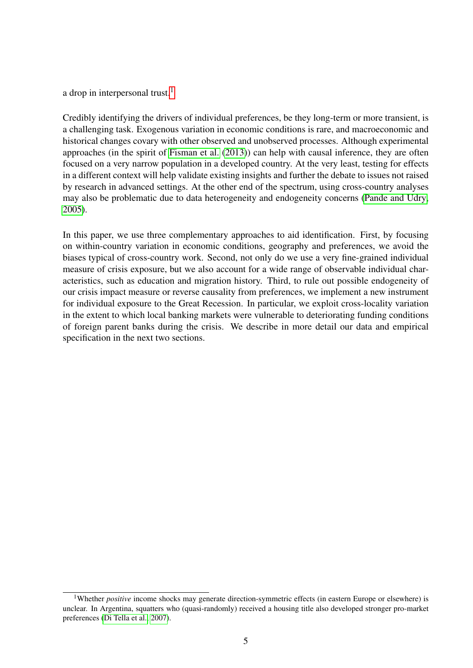a drop in interpersonal trust.<sup>[1](#page-5-0)</sup>

Credibly identifying the drivers of individual preferences, be they long-term or more transient, is a challenging task. Exogenous variation in economic conditions is rare, and macroeconomic and historical changes covary with other observed and unobserved processes. Although experimental approaches (in the spirit of [Fisman et al.](#page-18-6) [\(2013\)](#page-18-6)) can help with causal inference, they are often focused on a very narrow population in a developed country. At the very least, testing for effects in a different context will help validate existing insights and further the debate to issues not raised by research in advanced settings. At the other end of the spectrum, using cross-country analyses may also be problematic due to data heterogeneity and endogeneity concerns [\(Pande and Udry,](#page-19-10) [2005\)](#page-19-10).

In this paper, we use three complementary approaches to aid identification. First, by focusing on within-country variation in economic conditions, geography and preferences, we avoid the biases typical of cross-country work. Second, not only do we use a very fine-grained individual measure of crisis exposure, but we also account for a wide range of observable individual characteristics, such as education and migration history. Third, to rule out possible endogeneity of our crisis impact measure or reverse causality from preferences, we implement a new instrument for individual exposure to the Great Recession. In particular, we exploit cross-locality variation in the extent to which local banking markets were vulnerable to deteriorating funding conditions of foreign parent banks during the crisis. We describe in more detail our data and empirical specification in the next two sections.

<span id="page-5-0"></span><sup>&</sup>lt;sup>1</sup>Whether *positive* income shocks may generate direction-symmetric effects (in eastern Europe or elsewhere) is unclear. In Argentina, squatters who (quasi-randomly) received a housing title also developed stronger pro-market preferences [\(Di Tella et al., 2007\)](#page-18-5).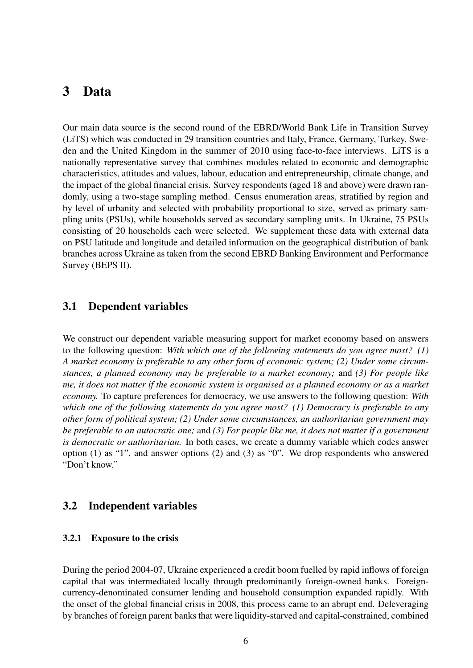## 3 Data

Our main data source is the second round of the EBRD/World Bank Life in Transition Survey (LiTS) which was conducted in 29 transition countries and Italy, France, Germany, Turkey, Sweden and the United Kingdom in the summer of 2010 using face-to-face interviews. LiTS is a nationally representative survey that combines modules related to economic and demographic characteristics, attitudes and values, labour, education and entrepreneurship, climate change, and the impact of the global financial crisis. Survey respondents (aged 18 and above) were drawn randomly, using a two-stage sampling method. Census enumeration areas, stratified by region and by level of urbanity and selected with probability proportional to size, served as primary sampling units (PSUs), while households served as secondary sampling units. In Ukraine, 75 PSUs consisting of 20 households each were selected. We supplement these data with external data on PSU latitude and longitude and detailed information on the geographical distribution of bank branches across Ukraine as taken from the second EBRD Banking Environment and Performance Survey (BEPS II).

### 3.1 Dependent variables

We construct our dependent variable measuring support for market economy based on answers to the following question: *With which one of the following statements do you agree most? (1) A market economy is preferable to any other form of economic system; (2) Under some circumstances, a planned economy may be preferable to a market economy;* and *(3) For people like me, it does not matter if the economic system is organised as a planned economy or as a market economy.* To capture preferences for democracy, we use answers to the following question: *With which one of the following statements do you agree most? (1) Democracy is preferable to any other form of political system; (2) Under some circumstances, an authoritarian government may be preferable to an autocratic one;* and *(3) For people like me, it does not matter if a government is democratic or authoritarian.* In both cases, we create a dummy variable which codes answer option (1) as "1", and answer options (2) and (3) as "0". We drop respondents who answered "Don't know."

### 3.2 Independent variables

#### 3.2.1 Exposure to the crisis

During the period 2004-07, Ukraine experienced a credit boom fuelled by rapid inflows of foreign capital that was intermediated locally through predominantly foreign-owned banks. Foreigncurrency-denominated consumer lending and household consumption expanded rapidly. With the onset of the global financial crisis in 2008, this process came to an abrupt end. Deleveraging by branches of foreign parent banks that were liquidity-starved and capital-constrained, combined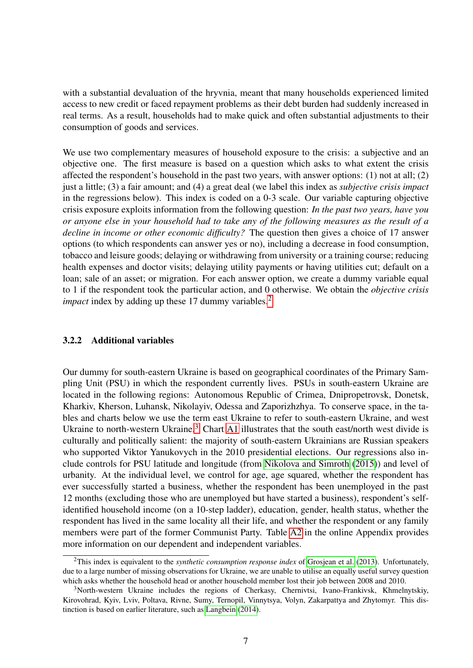with a substantial devaluation of the hryvnia, meant that many households experienced limited access to new credit or faced repayment problems as their debt burden had suddenly increased in real terms. As a result, households had to make quick and often substantial adjustments to their consumption of goods and services.

We use two complementary measures of household exposure to the crisis: a subjective and an objective one. The first measure is based on a question which asks to what extent the crisis affected the respondent's household in the past two years, with answer options: (1) not at all; (2) just a little; (3) a fair amount; and (4) a great deal (we label this index as *subjective crisis impact* in the regressions below). This index is coded on a 0-3 scale. Our variable capturing objective crisis exposure exploits information from the following question: *In the past two years, have you or anyone else in your household had to take any of the following measures as the result of a decline in income or other economic difficulty?* The question then gives a choice of 17 answer options (to which respondents can answer yes or no), including a decrease in food consumption, tobacco and leisure goods; delaying or withdrawing from university or a training course; reducing health expenses and doctor visits; delaying utility payments or having utilities cut; default on a loan; sale of an asset; or migration. For each answer option, we create a dummy variable equal to 1 if the respondent took the particular action, and 0 otherwise. We obtain the *objective crisis impact* index by adding up these 17 dummy variables.<sup>[2](#page-7-0)</sup>

#### 3.2.2 Additional variables

Our dummy for south-eastern Ukraine is based on geographical coordinates of the Primary Sampling Unit (PSU) in which the respondent currently lives. PSUs in south-eastern Ukraine are located in the following regions: Autonomous Republic of Crimea, Dnipropetrovsk, Donetsk, Kharkiv, Kherson, Luhansk, Nikolayiv, Odessa and Zaporizhzhya. To conserve space, in the tables and charts below we use the term east Ukraine to refer to south-eastern Ukraine, and west Ukraine to north-western Ukraine.<sup>[3](#page-7-1)</sup> Chart [A1](#page-34-0) illustrates that the south east/north west divide is culturally and politically salient: the majority of south-eastern Ukrainians are Russian speakers who supported Viktor Yanukovych in the 2010 presidential elections. Our regressions also include controls for PSU latitude and longitude (from [Nikolova and Simroth](#page-19-11) [\(2015\)](#page-19-11)) and level of urbanity. At the individual level, we control for age, age squared, whether the respondent has ever successfully started a business, whether the respondent has been unemployed in the past 12 months (excluding those who are unemployed but have started a business), respondent's selfidentified household income (on a 10-step ladder), education, gender, health status, whether the respondent has lived in the same locality all their life, and whether the respondent or any family members were part of the former Communist Party. Table [A2](#page-37-0) in the online Appendix provides more information on our dependent and independent variables.

<span id="page-7-0"></span><sup>2</sup>This index is equivalent to the *synthetic consumption response index* of [Grosjean et al.](#page-19-5) [\(2013\)](#page-19-5). Unfortunately, due to a large number of missing observations for Ukraine, we are unable to utilise an equally useful survey question which asks whether the household head or another household member lost their job between 2008 and 2010.

<span id="page-7-1"></span><sup>&</sup>lt;sup>3</sup>North-western Ukraine includes the regions of Cherkasy, Chernivtsi, Ivano-Frankivsk, Khmelnytskiy, Kirovohrad, Kyiv, Lviv, Poltava, Rivne, Sumy, Ternopil, Vinnytsya, Volyn, Zakarpattya and Zhytomyr. This distinction is based on earlier literature, such as [Langbein](#page-19-12) [\(2014\)](#page-19-12).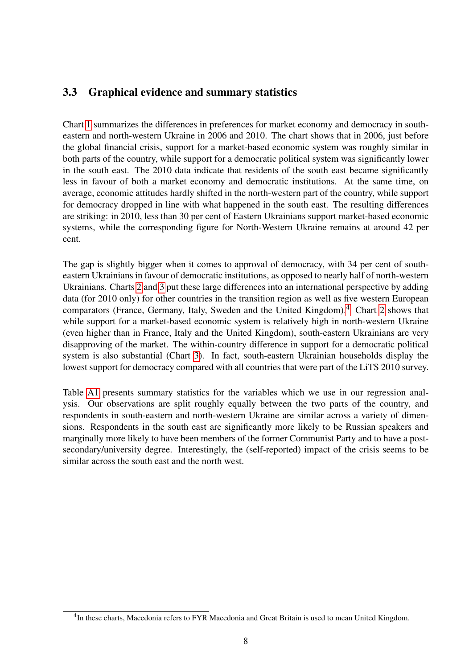## 3.3 Graphical evidence and summary statistics

Chart [1](#page-21-0) summarizes the differences in preferences for market economy and democracy in southeastern and north-western Ukraine in 2006 and 2010. The chart shows that in 2006, just before the global financial crisis, support for a market-based economic system was roughly similar in both parts of the country, while support for a democratic political system was significantly lower in the south east. The 2010 data indicate that residents of the south east became significantly less in favour of both a market economy and democratic institutions. At the same time, on average, economic attitudes hardly shifted in the north-western part of the country, while support for democracy dropped in line with what happened in the south east. The resulting differences are striking: in 2010, less than 30 per cent of Eastern Ukrainians support market-based economic systems, while the corresponding figure for North-Western Ukraine remains at around 42 per cent.

The gap is slightly bigger when it comes to approval of democracy, with 34 per cent of southeastern Ukrainians in favour of democratic institutions, as opposed to nearly half of north-western Ukrainians. Charts [2](#page-22-0) and [3](#page-23-0) put these large differences into an international perspective by adding data (for 2010 only) for other countries in the transition region as well as five western European comparators (France, Germany, Italy, Sweden and the United Kingdom).<sup>[4](#page-8-0)</sup> Chart [2](#page-22-0) shows that while support for a market-based economic system is relatively high in north-western Ukraine (even higher than in France, Italy and the United Kingdom), south-eastern Ukrainians are very disapproving of the market. The within-country difference in support for a democratic political system is also substantial (Chart [3\)](#page-26-0). In fact, south-eastern Ukrainian households display the lowest support for democracy compared with all countries that were part of the LiTS 2010 survey.

Table [A1](#page-36-0) presents summary statistics for the variables which we use in our regression analysis. Our observations are split roughly equally between the two parts of the country, and respondents in south-eastern and north-western Ukraine are similar across a variety of dimensions. Respondents in the south east are significantly more likely to be Russian speakers and marginally more likely to have been members of the former Communist Party and to have a postsecondary/university degree. Interestingly, the (self-reported) impact of the crisis seems to be similar across the south east and the north west.

<span id="page-8-0"></span><sup>&</sup>lt;sup>4</sup>In these charts, Macedonia refers to FYR Macedonia and Great Britain is used to mean United Kingdom.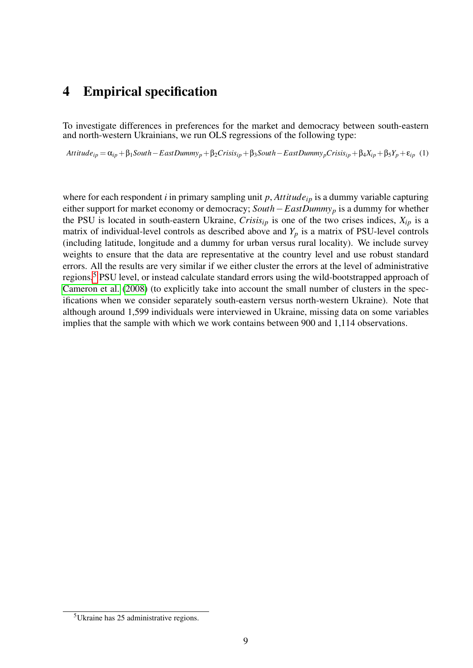## 4 Empirical specification

To investigate differences in preferences for the market and democracy between south-eastern and north-western Ukrainians, we run OLS regressions of the following type:

 $A$ ttitude<sub>ip</sub> =  $\alpha_{ip}$  +  $\beta_1$ *South* − *EastDummy*<sub>*p*</sub> +  $\beta_2$ *Crisis*<sub>ip</sub> +  $\beta_3$ *South* − *EastDummy*<sub>*p</sub>Crisis*<sub>ip</sub> +  $\beta_4 X_{ip}$  +  $\beta_5 Y_p$  +  $\varepsilon_{ip}$  (1)</sub>

where for each respondent *i* in primary sampling unit *p*, *Attitudeip* is a dummy variable capturing either support for market economy or democracy; *South*−*EastDummy<sup>p</sup>* is a dummy for whether the PSU is located in south-eastern Ukraine, *Crisis*<sub>ip</sub> is one of the two crises indices,  $X_{ip}$  is a matrix of individual-level controls as described above and  $Y_p$  is a matrix of PSU-level controls (including latitude, longitude and a dummy for urban versus rural locality). We include survey weights to ensure that the data are representative at the country level and use robust standard errors. All the results are very similar if we either cluster the errors at the level of administrative regions,<sup>[5](#page-9-0)</sup> PSU level, or instead calculate standard errors using the wild-bootstrapped approach of [Cameron et al.](#page-18-9) [\(2008\)](#page-18-9) (to explicitly take into account the small number of clusters in the specifications when we consider separately south-eastern versus north-western Ukraine). Note that although around 1,599 individuals were interviewed in Ukraine, missing data on some variables implies that the sample with which we work contains between 900 and 1,114 observations.

<span id="page-9-0"></span><sup>5</sup>Ukraine has 25 administrative regions.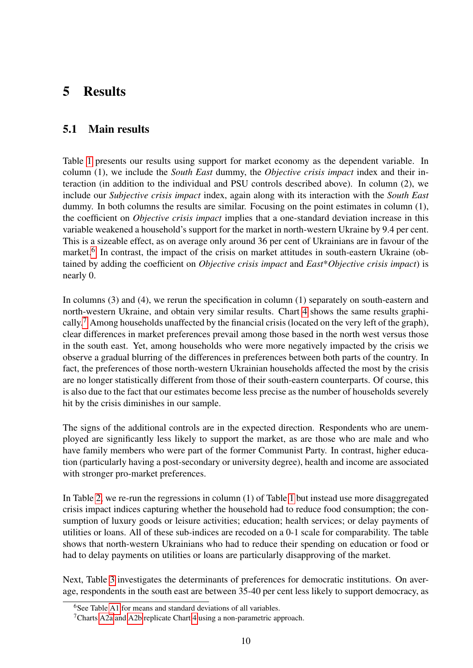## 5 Results

### 5.1 Main results

Table [1](#page-24-0) presents our results using support for market economy as the dependent variable. In column (1), we include the *South East* dummy, the *Objective crisis impact* index and their interaction (in addition to the individual and PSU controls described above). In column (2), we include our *Subjective crisis impact* index, again along with its interaction with the *South East* dummy. In both columns the results are similar. Focusing on the point estimates in column (1), the coefficient on *Objective crisis impact* implies that a one-standard deviation increase in this variable weakened a household's support for the market in north-western Ukraine by 9.4 per cent. This is a sizeable effect, as on average only around 36 per cent of Ukrainians are in favour of the market.<sup>[6](#page-10-0)</sup> In contrast, the impact of the crisis on market attitudes in south-eastern Ukraine (obtained by adding the coefficient on *Objective crisis impact* and *East*\**Objective crisis impact*) is nearly 0.

In columns (3) and (4), we rerun the specification in column (1) separately on south-eastern and north-western Ukraine, and obtain very similar results. Chart [4](#page-23-1) shows the same results graphi-cally.<sup>[7](#page-10-1)</sup> Among households unaffected by the financial crisis (located on the very left of the graph), clear differences in market preferences prevail among those based in the north west versus those in the south east. Yet, among households who were more negatively impacted by the crisis we observe a gradual blurring of the differences in preferences between both parts of the country. In fact, the preferences of those north-western Ukrainian households affected the most by the crisis are no longer statistically different from those of their south-eastern counterparts. Of course, this is also due to the fact that our estimates become less precise as the number of households severely hit by the crisis diminishes in our sample.

The signs of the additional controls are in the expected direction. Respondents who are unemployed are significantly less likely to support the market, as are those who are male and who have family members who were part of the former Communist Party. In contrast, higher education (particularly having a post-secondary or university degree), health and income are associated with stronger pro-market preferences.

In Table [2,](#page-25-0) we re-run the regressions in column (1) of Table [1](#page-24-0) but instead use more disaggregated crisis impact indices capturing whether the household had to reduce food consumption; the consumption of luxury goods or leisure activities; education; health services; or delay payments of utilities or loans. All of these sub-indices are recoded on a 0-1 scale for comparability. The table shows that north-western Ukrainians who had to reduce their spending on education or food or had to delay payments on utilities or loans are particularly disapproving of the market.

Next, Table [3](#page-26-0) investigates the determinants of preferences for democratic institutions. On average, respondents in the south east are between 35-40 per cent less likely to support democracy, as

<span id="page-10-0"></span> $6$ See Table [A1](#page-36-0) for means and standard deviations of all variables.

<span id="page-10-1"></span><sup>&</sup>lt;sup>7</sup>Charts [A2a](#page-35-0) and [A2b](#page-35-0) replicate Chart [4](#page-23-1) using a non-parametric approach.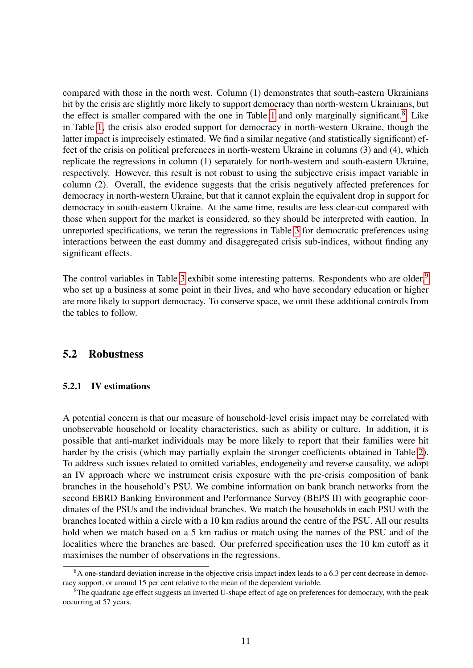compared with those in the north west. Column (1) demonstrates that south-eastern Ukrainians hit by the crisis are slightly more likely to support democracy than north-western Ukrainians, but the effect is smaller compared with the one in Table [1](#page-24-0) and only marginally significant.<sup>[8](#page-11-0)</sup> Like in Table [1,](#page-24-0) the crisis also eroded support for democracy in north-western Ukraine, though the latter impact is imprecisely estimated. We find a similar negative (and statistically significant) effect of the crisis on political preferences in north-western Ukraine in columns (3) and (4), which replicate the regressions in column (1) separately for north-western and south-eastern Ukraine, respectively. However, this result is not robust to using the subjective crisis impact variable in column (2). Overall, the evidence suggests that the crisis negatively affected preferences for democracy in north-western Ukraine, but that it cannot explain the equivalent drop in support for democracy in south-eastern Ukraine. At the same time, results are less clear-cut compared with those when support for the market is considered, so they should be interpreted with caution. In unreported specifications, we reran the regressions in Table [3](#page-26-0) for democratic preferences using interactions between the east dummy and disaggregated crisis sub-indices, without finding any significant effects.

The control variables in Table [3](#page-26-0) exhibit some interesting patterns. Respondents who are older,<sup>[9](#page-11-1)</sup> who set up a business at some point in their lives, and who have secondary education or higher are more likely to support democracy. To conserve space, we omit these additional controls from the tables to follow.

### 5.2 Robustness

#### 5.2.1 IV estimations

A potential concern is that our measure of household-level crisis impact may be correlated with unobservable household or locality characteristics, such as ability or culture. In addition, it is possible that anti-market individuals may be more likely to report that their families were hit harder by the crisis (which may partially explain the stronger coefficients obtained in Table [2\)](#page-25-0). To address such issues related to omitted variables, endogeneity and reverse causality, we adopt an IV approach where we instrument crisis exposure with the pre-crisis composition of bank branches in the household's PSU. We combine information on bank branch networks from the second EBRD Banking Environment and Performance Survey (BEPS II) with geographic coordinates of the PSUs and the individual branches. We match the households in each PSU with the branches located within a circle with a 10 km radius around the centre of the PSU. All our results hold when we match based on a 5 km radius or match using the names of the PSU and of the localities where the branches are based. Our preferred specification uses the 10 km cutoff as it maximises the number of observations in the regressions.

<span id="page-11-0"></span> $8A$  one-standard deviation increase in the objective crisis impact index leads to a 6.3 per cent decrease in democracy support, or around 15 per cent relative to the mean of the dependent variable.

<span id="page-11-1"></span> $^{9}$ The quadratic age effect suggests an inverted U-shape effect of age on preferences for democracy, with the peak occurring at 57 years.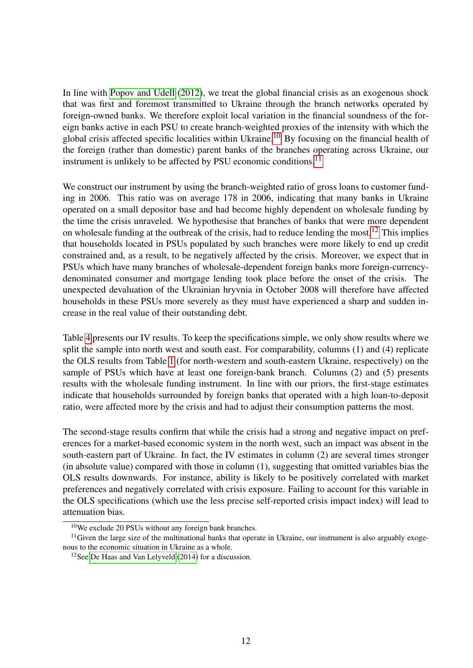In line with [Popov and Udell](#page-19-0) [\(2012\)](#page-19-0), we treat the global financial crisis as an exogenous shock that was first and foremost transmitted to Ukraine through the branch networks operated by foreign-owned banks. We therefore exploit local variation in the financial soundness of the foreign banks active in each PSU to create branch-weighted proxies of the intensity with which the global crisis affected specific localities within Ukraine.<sup>[10](#page-12-0)</sup> By focusing on the financial health of the foreign (rather than domestic) parent banks of the branches operating across Ukraine, our instrument is unlikely to be affected by PSU economic conditions.<sup>[11](#page-12-1)</sup>

We construct our instrument by using the branch-weighted ratio of gross loans to customer funding in 2006. This ratio was on average 178 in 2006, indicating that many banks in Ukraine operated on a small depositor base and had become highly dependent on wholesale funding by the time the crisis unraveled. We hypothesise that branches of banks that were more dependent on wholesale funding at the outbreak of the crisis, had to reduce lending the most.<sup>[12](#page-12-2)</sup> This implies that households located in PSUs populated by such branches were more likely to end up credit constrained and, as a result, to be negatively affected by the crisis. Moreover, we expect that in PSUs which have many branches of wholesale-dependent foreign banks more foreign-currencydenominated consumer and mortgage lending took place before the onset of the crisis. The unexpected devaluation of the Ukrainian hryvnia in October 2008 will therefore have affected households in these PSUs more severely as they must have experienced a sharp and sudden increase in the real value of their outstanding debt.

Table [4](#page-27-0) presents our IV results. To keep the specifications simple, we only show results where we split the sample into north west and south east. For comparability, columns (1) and (4) replicate the OLS results from Table [1](#page-24-0) (for north-western and south-eastern Ukraine, respectively) on the sample of PSUs which have at least one foreign-bank branch. Columns (2) and (5) presents results with the wholesale funding instrument. In line with our priors, the first-stage estimates indicate that households surrounded by foreign banks that operated with a high loan-to-deposit ratio, were affected more by the crisis and had to adjust their consumption patterns the most.

The second-stage results confirm that while the crisis had a strong and negative impact on preferences for a market-based economic system in the north west, such an impact was absent in the south-eastern part of Ukraine. In fact, the IV estimates in column (2) are several times stronger (in absolute value) compared with those in column (1), suggesting that omitted variables bias the OLS results downwards. For instance, ability is likely to be positively correlated with market preferences and negatively correlated with crisis exposure. Failing to account for this variable in the OLS specifications (which use the less precise self-reported crisis impact index) will lead to attenuation bias.

<span id="page-12-1"></span><span id="page-12-0"></span><sup>10</sup>We exclude 20 PSUs without any foreign bank branches.

 $11$  Given the large size of the multinational banks that operate in Ukraine, our instrument is also arguably exogenous to the economic situation in Ukraine as a whole.

<span id="page-12-2"></span><sup>&</sup>lt;sup>12</sup>See [De Haas and Van Lelyveld](#page-18-10) [\(2014\)](#page-18-10) for a discussion.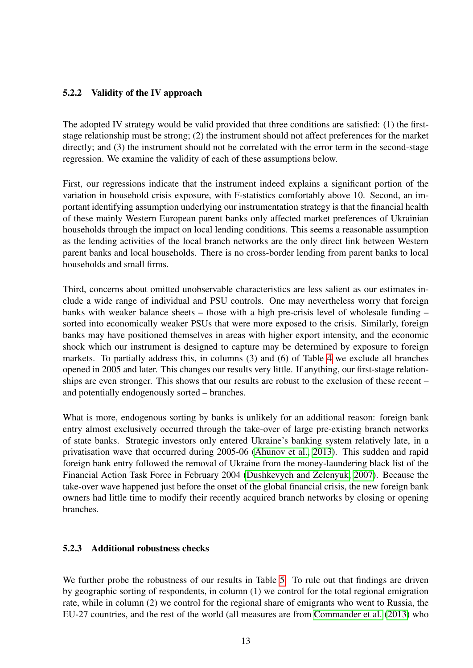#### 5.2.2 Validity of the IV approach

The adopted IV strategy would be valid provided that three conditions are satisfied: (1) the firststage relationship must be strong; (2) the instrument should not affect preferences for the market directly; and (3) the instrument should not be correlated with the error term in the second-stage regression. We examine the validity of each of these assumptions below.

First, our regressions indicate that the instrument indeed explains a significant portion of the variation in household crisis exposure, with F-statistics comfortably above 10. Second, an important identifying assumption underlying our instrumentation strategy is that the financial health of these mainly Western European parent banks only affected market preferences of Ukrainian households through the impact on local lending conditions. This seems a reasonable assumption as the lending activities of the local branch networks are the only direct link between Western parent banks and local households. There is no cross-border lending from parent banks to local households and small firms.

Third, concerns about omitted unobservable characteristics are less salient as our estimates include a wide range of individual and PSU controls. One may nevertheless worry that foreign banks with weaker balance sheets – those with a high pre-crisis level of wholesale funding – sorted into economically weaker PSUs that were more exposed to the crisis. Similarly, foreign banks may have positioned themselves in areas with higher export intensity, and the economic shock which our instrument is designed to capture may be determined by exposure to foreign markets. To partially address this, in columns (3) and (6) of Table [4](#page-27-0) we exclude all branches opened in 2005 and later. This changes our results very little. If anything, our first-stage relationships are even stronger. This shows that our results are robust to the exclusion of these recent – and potentially endogenously sorted – branches.

What is more, endogenous sorting by banks is unlikely for an additional reason: foreign bank entry almost exclusively occurred through the take-over of large pre-existing branch networks of state banks. Strategic investors only entered Ukraine's banking system relatively late, in a privatisation wave that occurred during 2005-06 [\(Ahunov et al., 2013\)](#page-18-11). This sudden and rapid foreign bank entry followed the removal of Ukraine from the money-laundering black list of the Financial Action Task Force in February 2004 [\(Dushkevych and Zelenyuk, 2007\)](#page-18-12). Because the take-over wave happened just before the onset of the global financial crisis, the new foreign bank owners had little time to modify their recently acquired branch networks by closing or opening branches.

#### 5.2.3 Additional robustness checks

We further probe the robustness of our results in Table [5.](#page-28-0) To rule out that findings are driven by geographic sorting of respondents, in column (1) we control for the total regional emigration rate, while in column (2) we control for the regional share of emigrants who went to Russia, the EU-27 countries, and the rest of the world (all measures are from [Commander et al.](#page-18-13) [\(2013\)](#page-18-13) who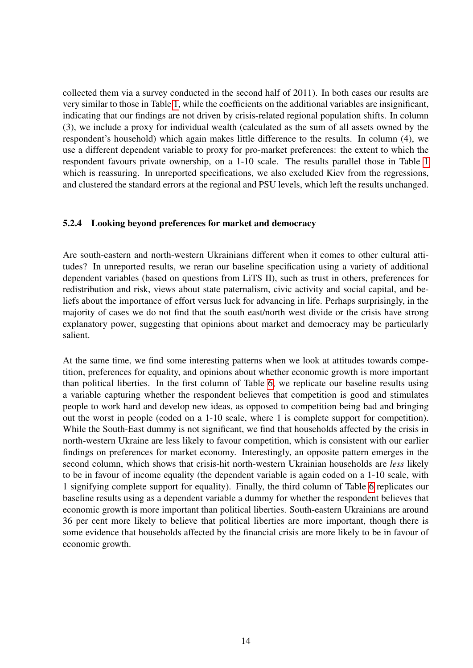collected them via a survey conducted in the second half of 2011). In both cases our results are very similar to those in Table [1,](#page-24-0) while the coefficients on the additional variables are insignificant, indicating that our findings are not driven by crisis-related regional population shifts. In column (3), we include a proxy for individual wealth (calculated as the sum of all assets owned by the respondent's household) which again makes little difference to the results. In column (4), we use a different dependent variable to proxy for pro-market preferences: the extent to which the respondent favours private ownership, on a 1-10 scale. The results parallel those in Table [1](#page-24-0) which is reassuring. In unreported specifications, we also excluded Kiev from the regressions, and clustered the standard errors at the regional and PSU levels, which left the results unchanged.

#### 5.2.4 Looking beyond preferences for market and democracy

Are south-eastern and north-western Ukrainians different when it comes to other cultural attitudes? In unreported results, we reran our baseline specification using a variety of additional dependent variables (based on questions from LiTS II), such as trust in others, preferences for redistribution and risk, views about state paternalism, civic activity and social capital, and beliefs about the importance of effort versus luck for advancing in life. Perhaps surprisingly, in the majority of cases we do not find that the south east/north west divide or the crisis have strong explanatory power, suggesting that opinions about market and democracy may be particularly salient.

At the same time, we find some interesting patterns when we look at attitudes towards competition, preferences for equality, and opinions about whether economic growth is more important than political liberties. In the first column of Table [6,](#page-29-0) we replicate our baseline results using a variable capturing whether the respondent believes that competition is good and stimulates people to work hard and develop new ideas, as opposed to competition being bad and bringing out the worst in people (coded on a 1-10 scale, where 1 is complete support for competition). While the South-East dummy is not significant, we find that households affected by the crisis in north-western Ukraine are less likely to favour competition, which is consistent with our earlier findings on preferences for market economy. Interestingly, an opposite pattern emerges in the second column, which shows that crisis-hit north-western Ukrainian households are *less* likely to be in favour of income equality (the dependent variable is again coded on a 1-10 scale, with 1 signifying complete support for equality). Finally, the third column of Table [6](#page-29-0) replicates our baseline results using as a dependent variable a dummy for whether the respondent believes that economic growth is more important than political liberties. South-eastern Ukrainians are around 36 per cent more likely to believe that political liberties are more important, though there is some evidence that households affected by the financial crisis are more likely to be in favour of economic growth.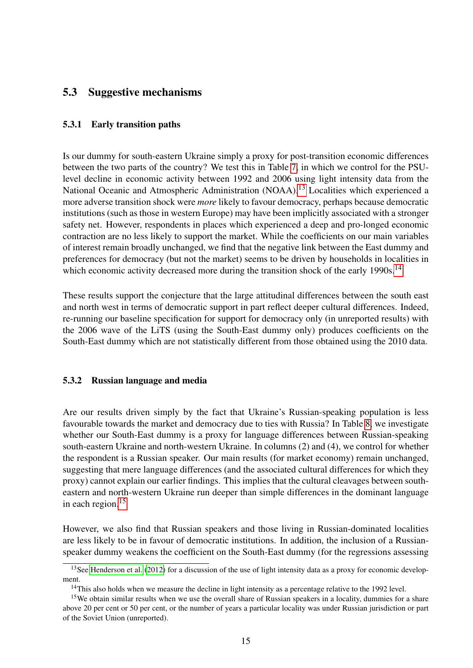## 5.3 Suggestive mechanisms

#### 5.3.1 Early transition paths

Is our dummy for south-eastern Ukraine simply a proxy for post-transition economic differences between the two parts of the country? We test this in Table [7,](#page-30-0) in which we control for the PSUlevel decline in economic activity between 1992 and 2006 using light intensity data from the National Oceanic and Atmospheric Administration (NOAA).[13](#page-15-0) Localities which experienced a more adverse transition shock were *more* likely to favour democracy, perhaps because democratic institutions (such as those in western Europe) may have been implicitly associated with a stronger safety net. However, respondents in places which experienced a deep and pro-longed economic contraction are no less likely to support the market. While the coefficients on our main variables of interest remain broadly unchanged, we find that the negative link between the East dummy and preferences for democracy (but not the market) seems to be driven by households in localities in which economic activity decreased more during the transition shock of the early 1990s.<sup>[14](#page-15-1)</sup>

These results support the conjecture that the large attitudinal differences between the south east and north west in terms of democratic support in part reflect deeper cultural differences. Indeed, re-running our baseline specification for support for democracy only (in unreported results) with the 2006 wave of the LiTS (using the South-East dummy only) produces coefficients on the South-East dummy which are not statistically different from those obtained using the 2010 data.

#### 5.3.2 Russian language and media

Are our results driven simply by the fact that Ukraine's Russian-speaking population is less favourable towards the market and democracy due to ties with Russia? In Table [8,](#page-31-0) we investigate whether our South-East dummy is a proxy for language differences between Russian-speaking south-eastern Ukraine and north-western Ukraine. In columns (2) and (4), we control for whether the respondent is a Russian speaker. Our main results (for market economy) remain unchanged, suggesting that mere language differences (and the associated cultural differences for which they proxy) cannot explain our earlier findings. This implies that the cultural cleavages between southeastern and north-western Ukraine run deeper than simple differences in the dominant language in each region.[15](#page-15-2)

However, we also find that Russian speakers and those living in Russian-dominated localities are less likely to be in favour of democratic institutions. In addition, the inclusion of a Russianspeaker dummy weakens the coefficient on the South-East dummy (for the regressions assessing

<span id="page-15-0"></span><sup>&</sup>lt;sup>13</sup>See [Henderson et al.](#page-19-13) [\(2012\)](#page-19-13) for a discussion of the use of light intensity data as a proxy for economic development.

<span id="page-15-2"></span><span id="page-15-1"></span><sup>&</sup>lt;sup>14</sup>This also holds when we measure the decline in light intensity as a percentage relative to the 1992 level.

<sup>&</sup>lt;sup>15</sup>We obtain similar results when we use the overall share of Russian speakers in a locality, dummies for a share above 20 per cent or 50 per cent, or the number of years a particular locality was under Russian jurisdiction or part of the Soviet Union (unreported).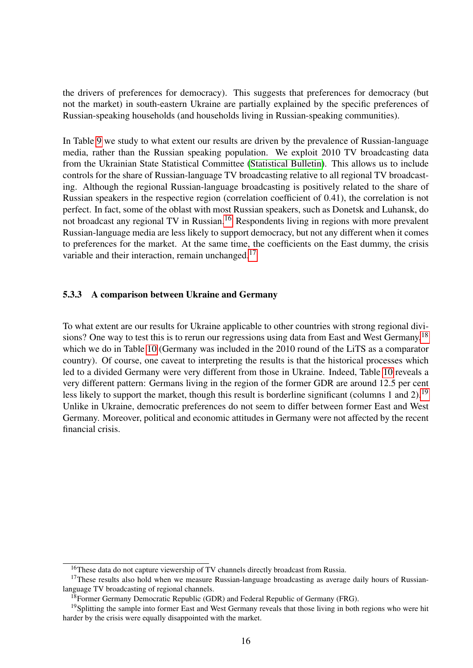the drivers of preferences for democracy). This suggests that preferences for democracy (but not the market) in south-eastern Ukraine are partially explained by the specific preferences of Russian-speaking households (and households living in Russian-speaking communities).

In Table [9](#page-32-0) we study to what extent our results are driven by the prevalence of Russian-language media, rather than the Russian speaking population. We exploit 2010 TV broadcasting data from the Ukrainian State Statistical Committee [\(Statistical Bulletin\)](#page-19-14). This allows us to include controls for the share of Russian-language TV broadcasting relative to all regional TV broadcasting. Although the regional Russian-language broadcasting is positively related to the share of Russian speakers in the respective region (correlation coefficient of 0.41), the correlation is not perfect. In fact, some of the oblast with most Russian speakers, such as Donetsk and Luhansk, do not broadcast any regional TV in Russian.<sup>[16](#page-16-0)</sup> Respondents living in regions with more prevalent Russian-language media are less likely to support democracy, but not any different when it comes to preferences for the market. At the same time, the coefficients on the East dummy, the crisis variable and their interaction, remain unchanged.<sup>[17](#page-16-1)</sup>

#### 5.3.3 A comparison between Ukraine and Germany

To what extent are our results for Ukraine applicable to other countries with strong regional divisions? One way to test this is to rerun our regressions using data from East and West Germany,  $18$ which we do in Table [10](#page-33-0) (Germany was included in the 2010 round of the LiTS as a comparator country). Of course, one caveat to interpreting the results is that the historical processes which led to a divided Germany were very different from those in Ukraine. Indeed, Table [10](#page-33-0) reveals a very different pattern: Germans living in the region of the former GDR are around 12.5 per cent less likely to support the market, though this result is borderline significant (columns 1 and 2).<sup>[19](#page-16-3)</sup> Unlike in Ukraine, democratic preferences do not seem to differ between former East and West Germany. Moreover, political and economic attitudes in Germany were not affected by the recent financial crisis.

<span id="page-16-1"></span><span id="page-16-0"></span><sup>&</sup>lt;sup>16</sup>These data do not capture viewership of TV channels directly broadcast from Russia.

 $17$ These results also hold when we measure Russian-language broadcasting as average daily hours of Russianlanguage TV broadcasting of regional channels.

<span id="page-16-3"></span><span id="page-16-2"></span><sup>&</sup>lt;sup>18</sup>Former Germany Democratic Republic (GDR) and Federal Republic of Germany (FRG).

<sup>&</sup>lt;sup>19</sup>Splitting the sample into former East and West Germany reveals that those living in both regions who were hit harder by the crisis were equally disappointed with the market.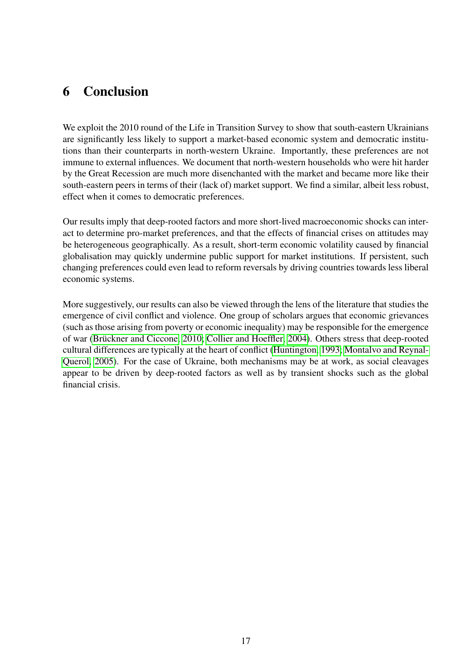## 6 Conclusion

We exploit the 2010 round of the Life in Transition Survey to show that south-eastern Ukrainians are significantly less likely to support a market-based economic system and democratic institutions than their counterparts in north-western Ukraine. Importantly, these preferences are not immune to external influences. We document that north-western households who were hit harder by the Great Recession are much more disenchanted with the market and became more like their south-eastern peers in terms of their (lack of) market support. We find a similar, albeit less robust, effect when it comes to democratic preferences.

Our results imply that deep-rooted factors and more short-lived macroeconomic shocks can interact to determine pro-market preferences, and that the effects of financial crises on attitudes may be heterogeneous geographically. As a result, short-term economic volatility caused by financial globalisation may quickly undermine public support for market institutions. If persistent, such changing preferences could even lead to reform reversals by driving countries towards less liberal economic systems.

More suggestively, our results can also be viewed through the lens of the literature that studies the emergence of civil conflict and violence. One group of scholars argues that economic grievances (such as those arising from poverty or economic inequality) may be responsible for the emergence of war (Brückner and Ciccone, 2010; [Collier and Hoeffler, 2004\)](#page-18-15). Others stress that deep-rooted cultural differences are typically at the heart of conflict [\(Huntington, 1993;](#page-19-15) [Montalvo and Reynal-](#page-19-16)[Querol, 2005\)](#page-19-16). For the case of Ukraine, both mechanisms may be at work, as social cleavages appear to be driven by deep-rooted factors as well as by transient shocks such as the global financial crisis.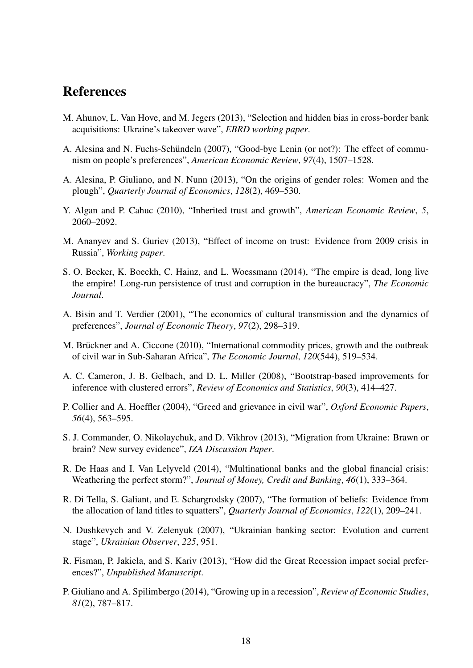## References

- <span id="page-18-11"></span>M. Ahunov, L. Van Hove, and M. Jegers (2013), "Selection and hidden bias in cross-border bank acquisitions: Ukraine's takeover wave", *EBRD working paper*.
- <span id="page-18-8"></span>A. Alesina and N. Fuchs-Schündeln (2007), "Good-bye Lenin (or not?): The effect of communism on people's preferences", *American Economic Review*, *97*(4), 1507–1528.
- <span id="page-18-2"></span>A. Alesina, P. Giuliano, and N. Nunn (2013), "On the origins of gender roles: Women and the plough", *Quarterly Journal of Economics*, *128*(2), 469–530.
- <span id="page-18-0"></span>Y. Algan and P. Cahuc (2010), "Inherited trust and growth", *American Economic Review*, *5*, 2060–2092.
- <span id="page-18-4"></span>M. Ananyev and S. Guriev (2013), "Effect of income on trust: Evidence from 2009 crisis in Russia", *Working paper*.
- <span id="page-18-3"></span>S. O. Becker, K. Boeckh, C. Hainz, and L. Woessmann (2014), "The empire is dead, long live the empire! Long-run persistence of trust and corruption in the bureaucracy", *The Economic Journal*.
- <span id="page-18-1"></span>A. Bisin and T. Verdier (2001), "The economics of cultural transmission and the dynamics of preferences", *Journal of Economic Theory*, *97*(2), 298–319.
- <span id="page-18-14"></span>M. Brückner and A. Ciccone (2010), "International commodity prices, growth and the outbreak of civil war in Sub-Saharan Africa", *The Economic Journal*, *120*(544), 519–534.
- <span id="page-18-9"></span>A. C. Cameron, J. B. Gelbach, and D. L. Miller (2008), "Bootstrap-based improvements for inference with clustered errors", *Review of Economics and Statistics*, *90*(3), 414–427.
- <span id="page-18-15"></span>P. Collier and A. Hoeffler (2004), "Greed and grievance in civil war", *Oxford Economic Papers*, *56*(4), 563–595.
- <span id="page-18-13"></span>S. J. Commander, O. Nikolaychuk, and D. Vikhrov (2013), "Migration from Ukraine: Brawn or brain? New survey evidence", *IZA Discussion Paper*.
- <span id="page-18-10"></span>R. De Haas and I. Van Lelyveld (2014), "Multinational banks and the global financial crisis: Weathering the perfect storm?", *Journal of Money, Credit and Banking*, *46*(1), 333–364.
- <span id="page-18-5"></span>R. Di Tella, S. Galiant, and E. Schargrodsky (2007), "The formation of beliefs: Evidence from the allocation of land titles to squatters", *Quarterly Journal of Economics*, *122*(1), 209–241.
- <span id="page-18-12"></span>N. Dushkevych and V. Zelenyuk (2007), "Ukrainian banking sector: Evolution and current stage", *Ukrainian Observer*, *225*, 951.
- <span id="page-18-6"></span>R. Fisman, P. Jakiela, and S. Kariv (2013), "How did the Great Recession impact social preferences?", *Unpublished Manuscript*.
- <span id="page-18-7"></span>P. Giuliano and A. Spilimbergo (2014), "Growing up in a recession", *Review of Economic Studies*, *81*(2), 787–817.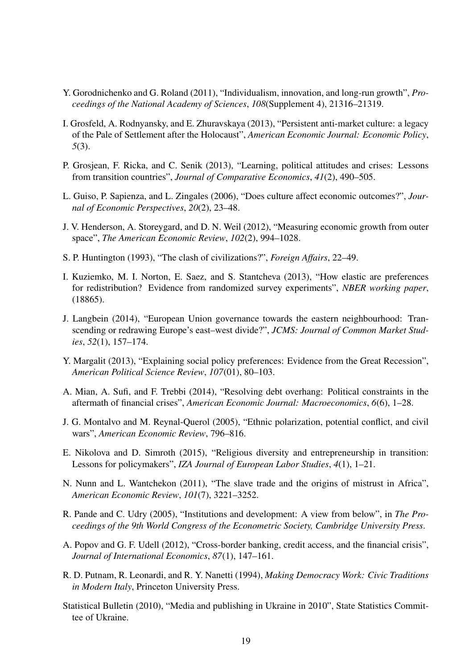- <span id="page-19-1"></span>Y. Gorodnichenko and G. Roland (2011), "Individualism, innovation, and long-run growth", *Proceedings of the National Academy of Sciences*, *108*(Supplement 4), 21316–21319.
- <span id="page-19-3"></span>I. Grosfeld, A. Rodnyansky, and E. Zhuravskaya (2013), "Persistent anti-market culture: a legacy of the Pale of Settlement after the Holocaust", *American Economic Journal: Economic Policy*, *5*(3).
- <span id="page-19-5"></span>P. Grosjean, F. Ricka, and C. Senik (2013), "Learning, political attitudes and crises: Lessons from transition countries", *Journal of Comparative Economics*, *41*(2), 490–505.
- <span id="page-19-2"></span>L. Guiso, P. Sapienza, and L. Zingales (2006), "Does culture affect economic outcomes?", *Journal of Economic Perspectives*, *20*(2), 23–48.
- <span id="page-19-13"></span>J. V. Henderson, A. Storeygard, and D. N. Weil (2012), "Measuring economic growth from outer space", *The American Economic Review*, *102*(2), 994–1028.
- <span id="page-19-15"></span>S. P. Huntington (1993), "The clash of civilizations?", *Foreign Affairs*, 22–49.
- <span id="page-19-6"></span>I. Kuziemko, M. I. Norton, E. Saez, and S. Stantcheva (2013), "How elastic are preferences for redistribution? Evidence from randomized survey experiments", *NBER working paper*, (18865).
- <span id="page-19-12"></span>J. Langbein (2014), "European Union governance towards the eastern neighbourhood: Transcending or redrawing Europe's east–west divide?", *JCMS: Journal of Common Market Studies*, *52*(1), 157–174.
- <span id="page-19-8"></span>Y. Margalit (2013), "Explaining social policy preferences: Evidence from the Great Recession", *American Political Science Review*, *107*(01), 80–103.
- <span id="page-19-9"></span>A. Mian, A. Sufi, and F. Trebbi (2014), "Resolving debt overhang: Political constraints in the aftermath of financial crises", *American Economic Journal: Macroeconomics*, *6*(6), 1–28.
- <span id="page-19-16"></span>J. G. Montalvo and M. Reynal-Querol (2005), "Ethnic polarization, potential conflict, and civil wars", *American Economic Review*, 796–816.
- <span id="page-19-11"></span>E. Nikolova and D. Simroth (2015), "Religious diversity and entrepreneurship in transition: Lessons for policymakers", *IZA Journal of European Labor Studies*, *4*(1), 1–21.
- <span id="page-19-4"></span>N. Nunn and L. Wantchekon (2011), "The slave trade and the origins of mistrust in Africa", *American Economic Review*, *101*(7), 3221–3252.
- <span id="page-19-10"></span>R. Pande and C. Udry (2005), "Institutions and development: A view from below", in *The Proceedings of the 9th World Congress of the Econometric Society, Cambridge University Press*.
- <span id="page-19-0"></span>A. Popov and G. F. Udell (2012), "Cross-border banking, credit access, and the financial crisis", *Journal of International Economics*, *87*(1), 147–161.
- <span id="page-19-7"></span>R. D. Putnam, R. Leonardi, and R. Y. Nanetti (1994), *Making Democracy Work: Civic Traditions in Modern Italy*, Princeton University Press.
- <span id="page-19-14"></span>Statistical Bulletin (2010), "Media and publishing in Ukraine in 2010", State Statistics Committee of Ukraine.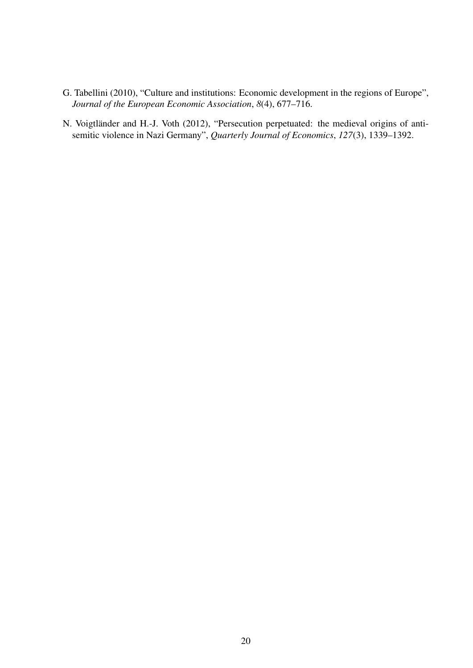- <span id="page-20-0"></span>G. Tabellini (2010), "Culture and institutions: Economic development in the regions of Europe", *Journal of the European Economic Association*, *8*(4), 677–716.
- <span id="page-20-1"></span>N. Voigtländer and H.-J. Voth (2012), "Persecution perpetuated: the medieval origins of antisemitic violence in Nazi Germany", *Quarterly Journal of Economics*, *127*(3), 1339–1392.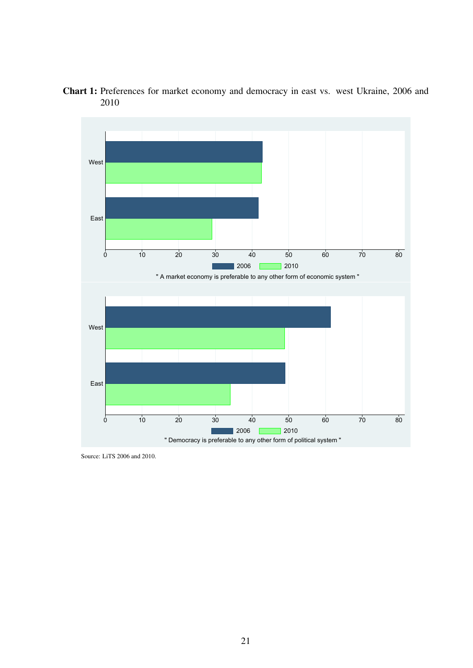<span id="page-21-0"></span>



Source: LiTS 2006 and 2010.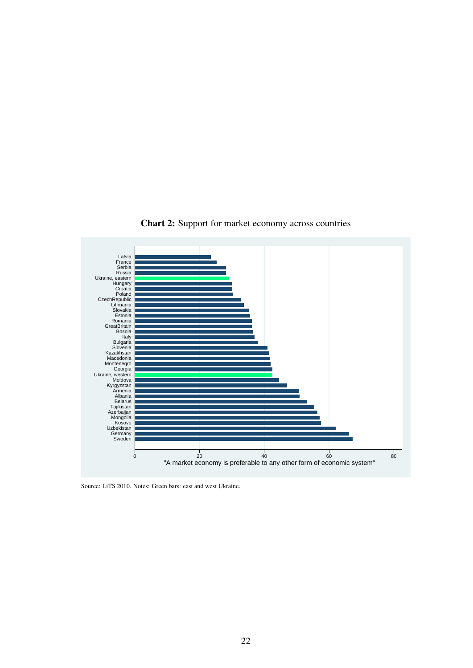<span id="page-22-0"></span>

Chart 2: Support for market economy across countries

Source: LiTS 2010. Notes: Green bars: east and west Ukraine.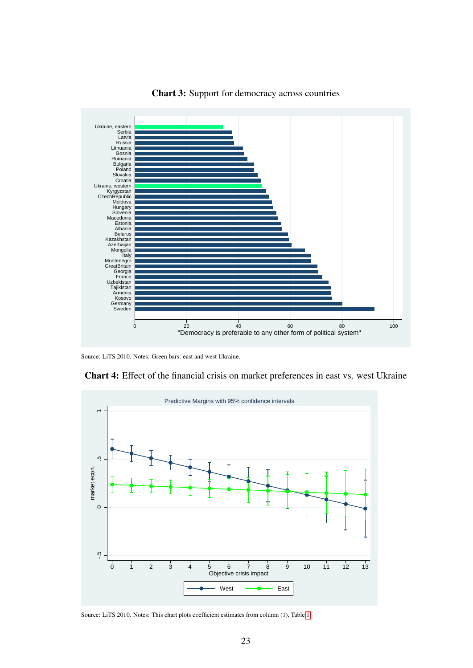<span id="page-23-0"></span>

Chart 3: Support for democracy across countries

Source: LiTS 2010. Notes: Green bars: east and west Ukraine.

<span id="page-23-1"></span>

Chart 4: Effect of the financial crisis on market preferences in east vs. west Ukraine

Source: LiTS 2010. Notes: This chart plots coefficient estimates from column (1), Table [1.](#page-24-0)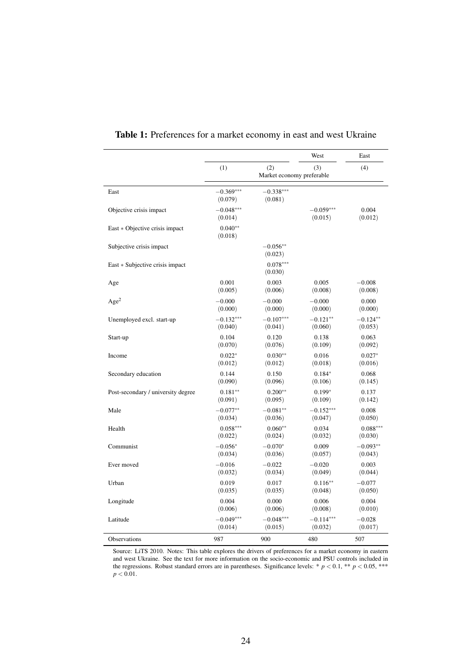<span id="page-24-0"></span>

|                                    |                        |                                  | West                   | East             |
|------------------------------------|------------------------|----------------------------------|------------------------|------------------|
|                                    | (1)                    | (2)<br>Market economy preferable | (3)                    | (4)              |
| East                               | $-0.369***$<br>(0.079) | $-0.338***$<br>(0.081)           |                        |                  |
| Objective crisis impact            | $-0.048***$<br>(0.014) |                                  | $-0.059***$<br>(0.015) | 0.004<br>(0.012) |
| East * Objective crisis impact     | $0.040**$<br>(0.018)   |                                  |                        |                  |
| Subjective crisis impact           |                        | $-0.056**$<br>(0.023)            |                        |                  |
| East * Subjective crisis impact    |                        | $0.078***$<br>(0.030)            |                        |                  |
| Age                                | 0.001                  | 0.003                            | 0.005                  | $-0.008$         |
|                                    | (0.005)                | (0.006)                          | (0.008)                | (0.008)          |
| Age <sup>2</sup>                   | $-0.000$               | $-0.000$                         | $-0.000$               | 0.000            |
|                                    | (0.000)                | (0.000)                          | (0.000)                | (0.000)          |
| Unemployed excl. start-up          | $-0.132***$            | $-0.107***$                      | $-0.121**$             | $-0.124**$       |
|                                    | (0.040)                | (0.041)                          | (0.060)                | (0.053)          |
| Start-up                           | 0.104                  | 0.120                            | 0.138                  | 0.063            |
|                                    | (0.070)                | (0.076)                          | (0.109)                | (0.092)          |
| Income                             | $0.022*$               | $0.030**$                        | 0.016                  | $0.027*$         |
|                                    | (0.012)                | (0.012)                          | (0.018)                | (0.016)          |
| Secondary education                | 0.144                  | 0.150                            | $0.184*$               | 0.068            |
|                                    | (0.090)                | (0.096)                          | (0.106)                | (0.145)          |
| Post-secondary / university degree | $0.181**$              | $0.200**$                        | $0.199*$               | 0.137            |
|                                    | (0.091)                | (0.095)                          | (0.109)                | (0.142)          |
| Male                               | $-0.077**$             | $-0.081**$                       | $-0.152***$            | 0.008            |
|                                    | (0.034)                | (0.036)                          | (0.047)                | (0.050)          |
| Health                             | $0.058***$             | $0.060**$                        | 0.034                  | $0.088***$       |
|                                    | (0.022)                | (0.024)                          | (0.032)                | (0.030)          |
| Communist                          | $-0.056*$              | $-0.070*$                        | 0.009                  | $-0.093**$       |
|                                    | (0.034)                | (0.036)                          | (0.057)                | (0.043)          |
| Ever moved                         | $-0.016$               | $-0.022$                         | $-0.020$               | 0.003            |
|                                    | (0.032)                | (0.034)                          | (0.049)                | (0.044)          |
| Urban                              | 0.019                  | 0.017                            | $0.116**$              | $-0.077$         |
|                                    | (0.035)                | (0.035)                          | (0.048)                | (0.050)          |
| Longitude                          | 0.004                  | 0.000                            | 0.006                  | 0.004            |
|                                    | (0.006)                | (0.006)                          | (0.008)                | (0.010)          |
| Latitude                           | $-0.049***$            | $-0.048***$                      | $-0.114***$            | $-0.028$         |
|                                    | (0.014)                | (0.015)                          | (0.032)                | (0.017)          |
| Observations                       | 987                    | 900                              | 480                    | 507              |

### Table 1: Preferences for a market economy in east and west Ukraine

Source: LiTS 2010. Notes: This table explores the drivers of preferences for a market economy in eastern and west Ukraine. See the text for more information on the socio-economic and PSU controls included in the regressions. Robust standard errors are in parentheses. Significance levels: \*  $p < 0.1$ , \*\*  $p < 0.05$ , \*\*\*  $p < 0.01$ .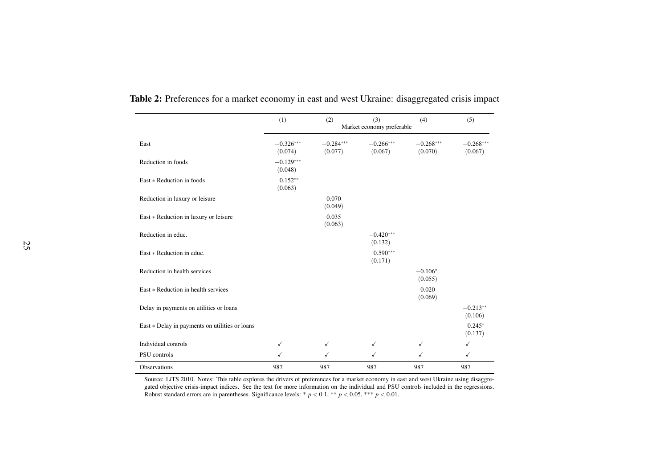|                                                | (1)                    | (2)                    | (3)<br>Market economy preferable | (4)                    | (5)                    |
|------------------------------------------------|------------------------|------------------------|----------------------------------|------------------------|------------------------|
| East                                           | $-0.326***$<br>(0.074) | $-0.284***$<br>(0.077) | $-0.266***$<br>(0.067)           | $-0.268***$<br>(0.070) | $-0.268***$<br>(0.067) |
| Reduction in foods                             | $-0.129***$<br>(0.048) |                        |                                  |                        |                        |
| East * Reduction in foods                      | $0.152**$<br>(0.063)   |                        |                                  |                        |                        |
| Reduction in luxury or leisure                 |                        | $-0.070$<br>(0.049)    |                                  |                        |                        |
| East * Reduction in luxury or leisure          |                        | 0.035<br>(0.063)       |                                  |                        |                        |
| Reduction in educ.                             |                        |                        | $-0.420***$<br>(0.132)           |                        |                        |
| East * Reduction in educ.                      |                        |                        | $0.590***$<br>(0.171)            |                        |                        |
| Reduction in health services                   |                        |                        |                                  | $-0.106*$<br>(0.055)   |                        |
| East * Reduction in health services            |                        |                        |                                  | 0.020<br>(0.069)       |                        |
| Delay in payments on utilities or loans        |                        |                        |                                  |                        | $-0.213**$<br>(0.106)  |
| East * Delay in payments on utilities or loans |                        |                        |                                  |                        | $0.245*$<br>(0.137)    |
| Individual controls                            | ✓                      | $\checkmark$           | ✓                                | ✓                      | $\checkmark$           |
| PSU controls                                   | ✓                      | ✓                      | ✓                                | $\checkmark$           | ✓                      |
| Observations                                   | 987                    | 987                    | 987                              | 987                    | 987                    |

Table 2: Preferences for <sup>a</sup> market economy in east and west Ukraine: disaggregated crisis impact

<span id="page-25-0"></span>Source: LiTS 2010. Notes: This table explores the drivers of preferences for a market economy in east and west Ukraine using disaggregated objective crisis-impact indices. See the text for more information on the individual and PSU controls included in the regressions.Robust standard errors are in parentheses. Significance levels: \* *<sup>p</sup>* <sup>&</sup>lt; <sup>0</sup>.1, \*\* *<sup>p</sup>* <sup>&</sup>lt; <sup>0</sup>.05, \*\*\* *<sup>p</sup>* <sup>&</sup>lt; <sup>0</sup>.01.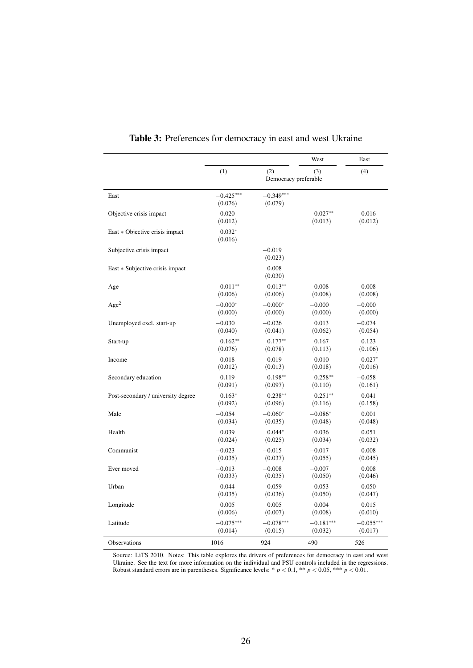<span id="page-26-0"></span>

|                                    |                        |                             | West                  | East             |
|------------------------------------|------------------------|-----------------------------|-----------------------|------------------|
|                                    | (1)                    | (2)<br>Democracy preferable | (3)                   | (4)              |
| East                               | $-0.425***$<br>(0.076) | $-0.349***$<br>(0.079)      |                       |                  |
| Objective crisis impact            | $-0.020$<br>(0.012)    |                             | $-0.027**$<br>(0.013) | 0.016<br>(0.012) |
| East * Objective crisis impact     | $0.032*$<br>(0.016)    |                             |                       |                  |
| Subjective crisis impact           |                        | $-0.019$<br>(0.023)         |                       |                  |
| East * Subjective crisis impact    |                        | 0.008<br>(0.030)            |                       |                  |
| Age                                | $0.011**$              | $0.013**$                   | 0.008                 | 0.008            |
|                                    | (0.006)                | (0.006)                     | (0.008)               | (0.008)          |
| Age <sup>2</sup>                   | $-0.000*$              | $-0.000*$                   | $-0.000$              | $-0.000$         |
|                                    | (0.000)                | (0.000)                     | (0.000)               | (0.000)          |
| Unemployed excl. start-up          | $-0.030$               | $-0.026$                    | 0.013                 | $-0.074$         |
|                                    | (0.040)                | (0.041)                     | (0.062)               | (0.054)          |
| Start-up                           | $0.162**$              | $0.177**$                   | 0.167                 | 0.123            |
|                                    | (0.076)                | (0.078)                     | (0.113)               | (0.106)          |
| Income                             | 0.018                  | 0.019                       | 0.010                 | $0.027*$         |
|                                    | (0.012)                | (0.013)                     | (0.018)               | (0.016)          |
| Secondary education                | 0.119                  | $0.198**$                   | $0.258**$             | $-0.058$         |
|                                    | (0.091)                | (0.097)                     | (0.110)               | (0.161)          |
| Post-secondary / university degree | $0.163*$               | $0.238**$                   | $0.251**$             | 0.041            |
|                                    | (0.092)                | (0.096)                     | (0.116)               | (0.158)          |
| Male                               | $-0.054$               | $-0.060*$                   | $-0.086*$             | 0.001            |
|                                    | (0.034)                | (0.035)                     | (0.048)               | (0.048)          |
| Health                             | 0.039                  | $0.044*$                    | 0.036                 | 0.051            |
|                                    | (0.024)                | (0.025)                     | (0.034)               | (0.032)          |
| Communist                          | $-0.023$               | $-0.015$                    | $-0.017$              | 0.008            |
|                                    | (0.035)                | (0.037)                     | (0.055)               | (0.045)          |
| Ever moved                         | $-0.013$               | $-0.008$                    | $-0.007$              | 0.008            |
|                                    | (0.033)                | (0.035)                     | (0.050)               | (0.046)          |
| Urban                              | 0.044                  | 0.059                       | 0.053                 | 0.050            |
|                                    | (0.035)                | (0.036)                     | (0.050)               | (0.047)          |
| Longitude                          | 0.005                  | 0.005                       | 0.004                 | 0.015            |
|                                    | (0.006)                | (0.007)                     | (0.008)               | (0.010)          |
| Latitude                           | $-0.075***$            | $-0.078***$                 | $-0.181***$           | $-0.055***$      |
|                                    | (0.014)                | (0.015)                     | (0.032)               | (0.017)          |
| <b>Observations</b>                | 1016                   | 924                         | 490                   | 526              |

|  | <b>Table 3:</b> Preferences for democracy in east and west Ukraine |  |  |  |  |
|--|--------------------------------------------------------------------|--|--|--|--|
|--|--------------------------------------------------------------------|--|--|--|--|

Source: LiTS 2010. Notes: This table explores the drivers of preferences for democracy in east and west Ukraine. See the text for more information on the individual and PSU controls included in the regressions. Robust standard errors are in parentheses. Significance levels: \*  $p < 0.1$ , \*\*  $p < 0.05$ , \*\*  $p < 0.01$ .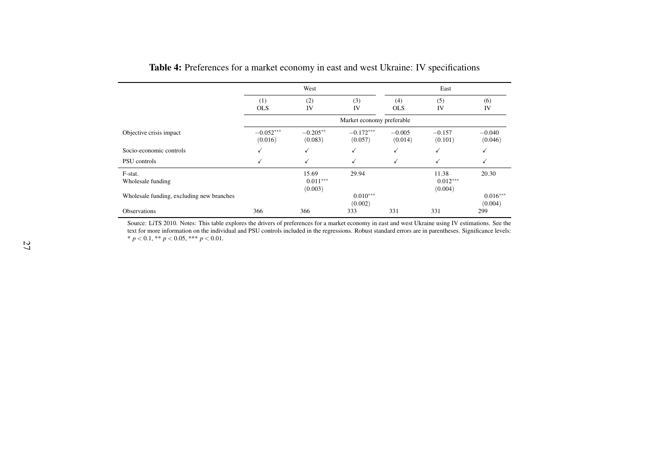|                                           | West                   |                                |                           | East                |                                |                       |
|-------------------------------------------|------------------------|--------------------------------|---------------------------|---------------------|--------------------------------|-----------------------|
|                                           | (1)<br><b>OLS</b>      | (2)<br>IV                      | (3)<br>IV                 | (4)<br><b>OLS</b>   | (5)<br>IV                      | (6)<br>IV             |
|                                           |                        |                                | Market economy preferable |                     |                                |                       |
| Objective crisis impact                   | $-0.052***$<br>(0.016) | $-0.205**$<br>(0.083)          | $-0.172***$<br>(0.057)    | $-0.005$<br>(0.014) | $-0.157$<br>(0.101)            | $-0.040$<br>(0.046)   |
| Socio-economic controls                   | ✓                      | ✓                              | $\checkmark$              | √                   | ✓                              | √                     |
| PSU controls                              | √                      | √                              | √                         | ✓                   | ✓                              | √                     |
| F-stat.<br>Wholesale funding              |                        | 15.69<br>$0.011***$<br>(0.003) | 29.94                     |                     | 11.38<br>$0.012***$<br>(0.004) | 20.30                 |
| Wholesale funding, excluding new branches |                        |                                | $0.010***$<br>(0.002)     |                     |                                | $0.016***$<br>(0.004) |
| <b>Observations</b>                       | 366                    | 366                            | 333                       | 331                 | 331                            | 299                   |

#### Table 4: Preferences for <sup>a</sup> market economy in east and west Ukraine: IV specifications

<span id="page-27-0"></span>Source: LiTS 2010. Notes: This table explores the drivers of preferences for <sup>a</sup> market economy in east and west Ukraine using IV estimations. See the text for more information on the individual and PSU controls included in the regressions. Robust standard errors are in parentheses. Significance levels:\* *<sup>p</sup>* <sup>&</sup>lt; <sup>0</sup>.1, \*\* *<sup>p</sup>* <sup>&</sup>lt; <sup>0</sup>.05, \*\*\* *<sup>p</sup>* <sup>&</sup>lt; <sup>0</sup>.01.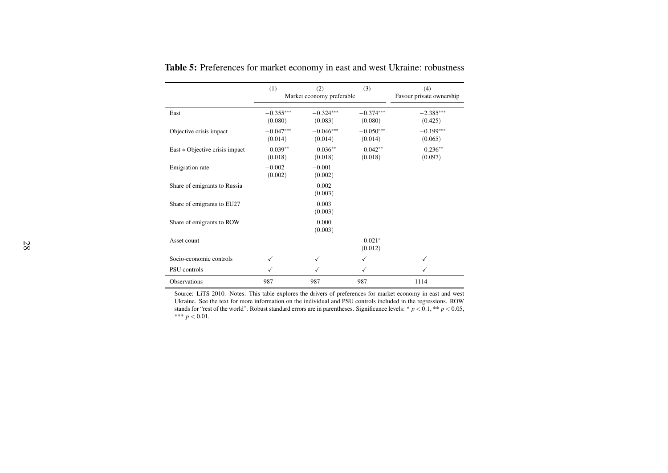|                                | (1)                    | (2)<br>Market economy preferable | (3)                    | (4)<br>Favour private ownership |
|--------------------------------|------------------------|----------------------------------|------------------------|---------------------------------|
| East                           | $-0.355***$<br>(0.080) | $-0.324***$<br>(0.083)           | $-0.374***$<br>(0.080) | $-2.385***$<br>(0.425)          |
| Objective crisis impact        | $-0.047***$<br>(0.014) | $-0.046***$<br>(0.014)           | $-0.050***$<br>(0.014) | $-0.199***$<br>(0.065)          |
| East * Objective crisis impact | $0.039**$<br>(0.018)   | $0.036**$<br>(0.018)             | $0.042**$<br>(0.018)   | $0.236**$<br>(0.097)            |
| <b>Emigration</b> rate         | $-0.002$<br>(0.002)    | $-0.001$<br>(0.002)              |                        |                                 |
| Share of emigrants to Russia   |                        | 0.002<br>(0.003)                 |                        |                                 |
| Share of emigrants to EU27     |                        | 0.003<br>(0.003)                 |                        |                                 |
| Share of emigrants to ROW      |                        | 0.000<br>(0.003)                 |                        |                                 |
| Asset count                    |                        |                                  | $0.021*$<br>(0.012)    |                                 |
| Socio-economic controls        | ✓                      |                                  |                        |                                 |
| PSU controls                   | ✓                      |                                  |                        |                                 |
| <b>Observations</b>            | 987                    | 987                              | 987                    | 1114                            |

<span id="page-28-0"></span>Table 5: Preferences for market economy in east and west Ukraine: robustness

Source: LiTS 2010. Notes: This table explores the drivers of preferences for market economy in east and west Ukraine. See the text for more information on the individual and PSU controls included in the regressions. ROW stands for "rest of the world". Robust standard errors are in parentheses. Significance levels: \* *<sup>p</sup>* <sup>&</sup>lt; <sup>0</sup>.1, \*\* *<sup>p</sup>* <sup>&</sup>lt; <sup>0</sup>.05, \*\*\* *<sup>p</sup>* <sup>&</sup>lt; <sup>0</sup>.01.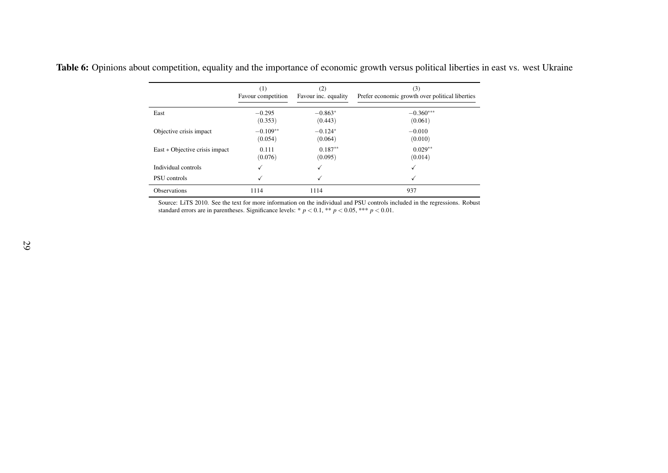|                                | (1)                | (2)                  | (3)                                             |
|--------------------------------|--------------------|----------------------|-------------------------------------------------|
|                                | Favour competition | Favour inc. equality | Prefer economic growth over political liberties |
| East                           | $-0.295$           | $-0.863*$            | $-0.360***$                                     |
|                                | (0.353)            | (0.443)              | (0.061)                                         |
| Objective crisis impact        | $-0.109**$         | $-0.124*$            | $-0.010$                                        |
|                                | (0.054)            | (0.064)              | (0.010)                                         |
| East * Objective crisis impact | 0.111              | $0.187**$            | $0.029**$                                       |
|                                | (0.076)            | (0.095)              | (0.014)                                         |
| Individual controls            |                    | √                    | $\checkmark$                                    |
| PSU controls                   |                    |                      | √                                               |
| <b>Observations</b>            | 1114               | 1114                 | 937                                             |

Table 6: Opinions about competition, equality and the importance of economic growth versus political liberties in east vs. west Ukraine

<span id="page-29-0"></span>Source: LiTS 2010. See the text for more information on the individual and PSU controls included in the regressions. Robuststandard errors are in parentheses. Significance levels: \* *<sup>p</sup>* <sup>&</sup>lt; <sup>0</sup>.1, \*\* *<sup>p</sup>* <sup>&</sup>lt; <sup>0</sup>.05, \*\*\* *<sup>p</sup>* <sup>&</sup>lt; <sup>0</sup>.01.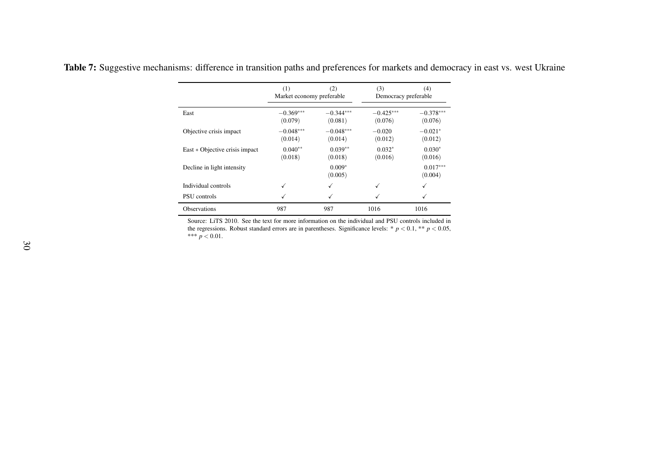|                                | (1)<br>(2)<br>Market economy preferable |                        | (3)<br>Democracy preferable | (4)                    |
|--------------------------------|-----------------------------------------|------------------------|-----------------------------|------------------------|
| East                           | $-0.369***$<br>(0.079)                  | $-0.344***$<br>(0.081) | $-0.425***$<br>(0.076)      | $-0.378***$<br>(0.076) |
| Objective crisis impact        | $-0.048***$<br>(0.014)                  | $-0.048***$<br>(0.014) | $-0.020$<br>(0.012)         | $-0.021*$<br>(0.012)   |
| East * Objective crisis impact | $0.040**$<br>(0.018)                    | $0.039**$<br>(0.018)   | $0.032*$<br>(0.016)         | $0.030*$<br>(0.016)    |
| Decline in light intensity     |                                         | $0.009*$<br>(0.005)    |                             | $0.017***$<br>(0.004)  |
| Individual controls            | √                                       | ✓                      | √                           | ✓                      |
| <b>PSU</b> controls            | √                                       |                        |                             |                        |
| <b>Observations</b>            | 987                                     | 987                    | 1016                        | 1016                   |

Table 7: Suggestive mechanisms: difference in transition paths and preferences for markets and democracy in east vs. west Ukraine

<span id="page-30-0"></span>Source: LiTS 2010. See the text for more information on the individual and PSU controls included inthe regressions. Robust standard errors are in parentheses. Significance levels: \*  $p < 0.1$ , \*\*  $p < 0.05$ , \*\*\* *<sup>p</sup>* <sup>&</sup>lt; <sup>0</sup>.01.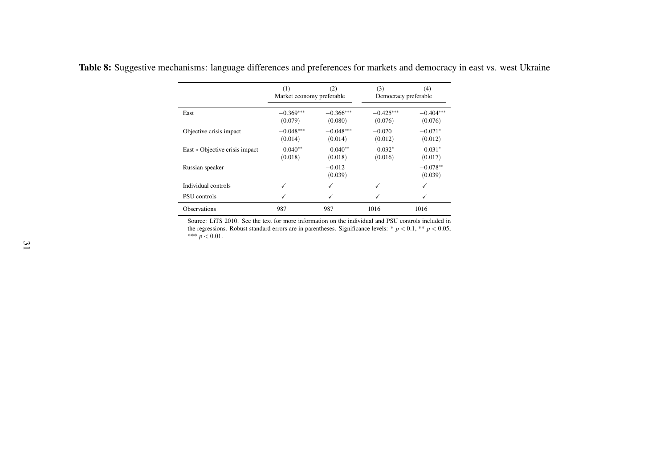|                                | (1)<br>(2)<br>Market economy preferable |                        | (3)<br>Democracy preferable | (4)                    |
|--------------------------------|-----------------------------------------|------------------------|-----------------------------|------------------------|
| East                           | $-0.369***$<br>(0.079)                  | $-0.366***$<br>(0.080) | $-0.425***$<br>(0.076)      | $-0.404***$<br>(0.076) |
| Objective crisis impact        | $-0.048***$<br>(0.014)                  | $-0.048***$<br>(0.014) | $-0.020$<br>(0.012)         | $-0.021*$<br>(0.012)   |
| East * Objective crisis impact | $0.040**$<br>(0.018)                    | $0.040**$<br>(0.018)   | $0.032*$<br>(0.016)         | $0.031*$<br>(0.017)    |
| Russian speaker                |                                         | $-0.012$<br>(0.039)    |                             | $-0.078**$<br>(0.039)  |
| Individual controls            | ✓                                       | ✓                      | ✓                           |                        |
| <b>PSU</b> controls            | √                                       |                        |                             |                        |
| <b>Observations</b>            | 987                                     | 987                    | 1016                        | 1016                   |

<span id="page-31-0"></span>Table 8: Suggestive mechanisms: language differences and preferences for markets and democracy in east vs. west Ukraine

Source: LiTS 2010. See the text for more information on the individual and PSU controls included inthe regressions. Robust standard errors are in parentheses. Significance levels: \*  $p < 0.1$ , \*\*  $p < 0.05$ , \*\*\* *<sup>p</sup>* <sup>&</sup>lt; <sup>0</sup>.01.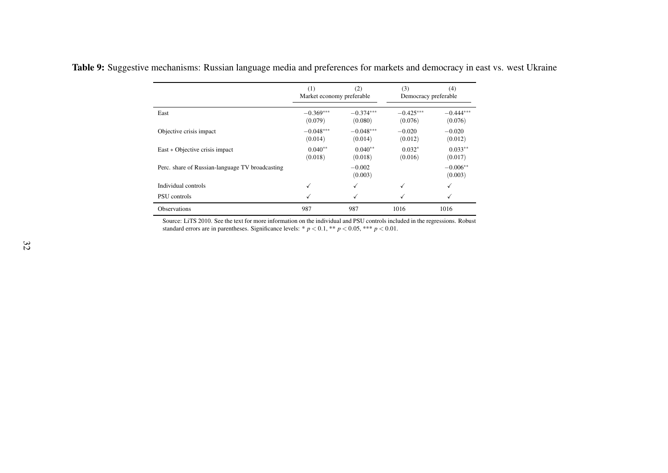|                                                 | (1)                       | (2)                    | (3)                    | (4)                    |  |
|-------------------------------------------------|---------------------------|------------------------|------------------------|------------------------|--|
|                                                 | Market economy preferable |                        | Democracy preferable   |                        |  |
| East                                            | $-0.369***$<br>(0.079)    | $-0.374***$<br>(0.080) | $-0.425***$<br>(0.076) | $-0.444***$<br>(0.076) |  |
| Objective crisis impact                         | $-0.048***$<br>(0.014)    | $-0.048***$<br>(0.014) | $-0.020$<br>(0.012)    | $-0.020$<br>(0.012)    |  |
| East * Objective crisis impact                  | $0.040**$<br>(0.018)      | $0.040**$<br>(0.018)   | $0.032*$<br>(0.016)    | $0.033**$<br>(0.017)   |  |
| Perc. share of Russian-language TV broadcasting |                           | $-0.002$<br>(0.003)    |                        | $-0.006**$<br>(0.003)  |  |
| Individual controls                             | ✓                         | √                      | √                      | ✓                      |  |
| <b>PSU</b> controls                             |                           | √                      |                        | ✓                      |  |
| <b>Observations</b>                             | 987                       | 987                    | 1016                   | 1016                   |  |

<span id="page-32-0"></span>Table 9: Suggestive mechanisms: Russian language media and preferences for markets and democracy in east vs. west Ukraine

Source: LiTS 2010. See the text for more information on the individual and PSU controls included in the regressions. Robuststandard errors are in parentheses. Significance levels: \* *<sup>p</sup>* <sup>&</sup>lt; <sup>0</sup>.1, \*\* *<sup>p</sup>* <sup>&</sup>lt; <sup>0</sup>.05, \*\*\* *<sup>p</sup>* <sup>&</sup>lt; <sup>0</sup>.01.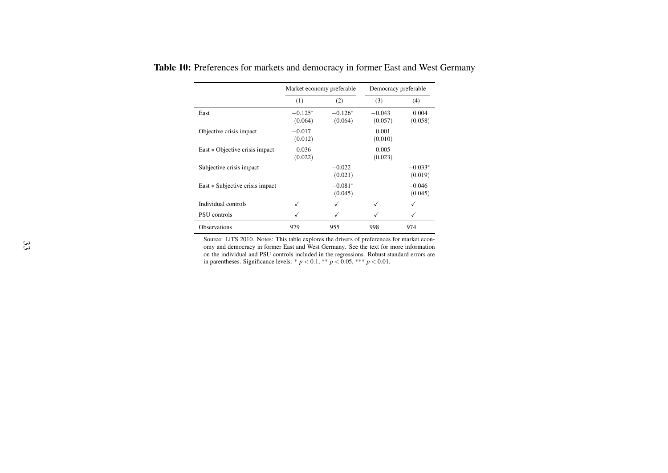|                                 | Market economy preferable |                      | Democracy preferable |                      |
|---------------------------------|---------------------------|----------------------|----------------------|----------------------|
|                                 | (1)                       | (2)                  | (3)                  | (4)                  |
| East                            | $-0.125*$<br>(0.064)      | $-0.126*$<br>(0.064) | $-0.043$<br>(0.057)  | 0.004<br>(0.058)     |
| Objective crisis impact         | $-0.017$<br>(0.012)       |                      | 0.001<br>(0.010)     |                      |
| East * Objective crisis impact  | $-0.036$<br>(0.022)       |                      | 0.005<br>(0.023)     |                      |
| Subjective crisis impact        |                           | $-0.022$<br>(0.021)  |                      | $-0.033*$<br>(0.019) |
| East * Subjective crisis impact |                           | $-0.081*$<br>(0.045) |                      | $-0.046$<br>(0.045)  |
| Individual controls             |                           | ✓                    |                      | ✓                    |
| <b>PSU</b> controls             |                           |                      |                      | ✓                    |
| <b>Observations</b>             | 979                       | 955                  | 998                  | 974                  |

<span id="page-33-0"></span>Table 10: Preferences for markets and democracy in former East and West Germany

Source: LiTS 2010. Notes: This table explores the drivers of preferences for market economy and democracy in former East and West Germany. See the text for more information on the individual and PSU controls included in the regressions. Robust standard errors arein parentheses. Significance levels: \*  $p < 0.1$ , \*\*  $p < 0.05$ , \*\*\*  $p < 0.01$ .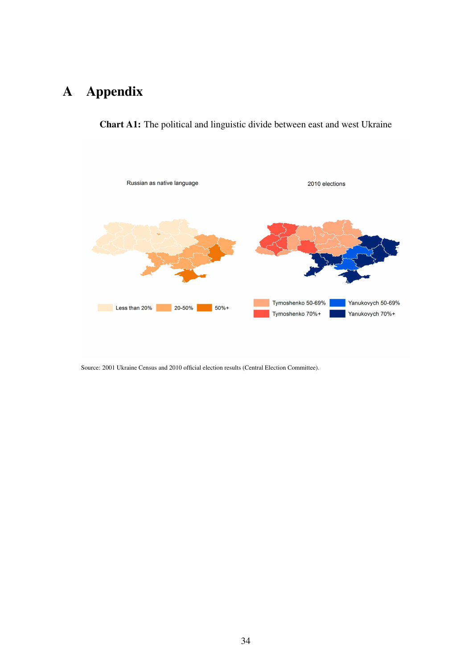# A Appendix

Chart A1: The political and linguistic divide between east and west Ukraine

<span id="page-34-0"></span>

Source: 2001 Ukraine Census and 2010 official election results (Central Election Committee).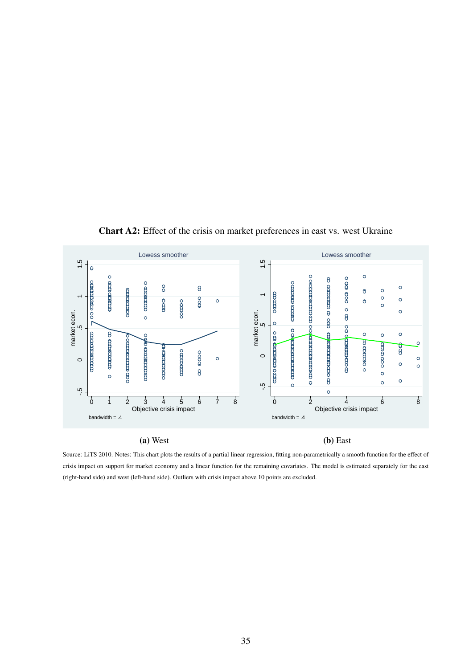<span id="page-35-0"></span>

Chart A2: Effect of the crisis on market preferences in east vs. west Ukraine

Source: LiTS 2010. Notes: This chart plots the results of a partial linear regression, fitting non-parametrically a smooth function for the effect of crisis impact on support for market economy and a linear function for the remaining covariates. The model is estimated separately for the east (right-hand side) and west (left-hand side). Outliers with crisis impact above 10 points are excluded.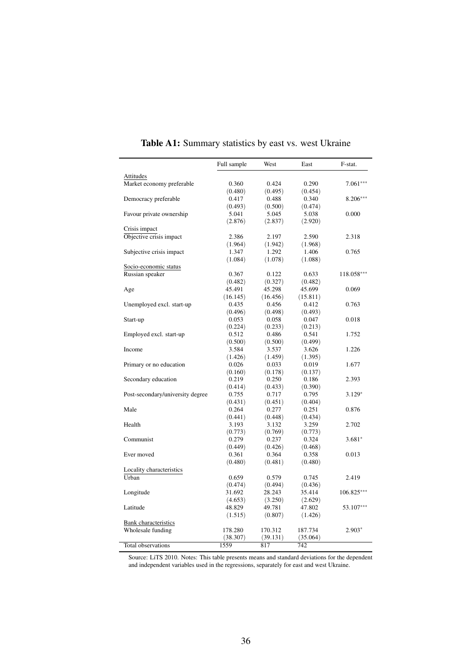<span id="page-36-0"></span>

|                                  | Full sample | West     | East     | F-stat.      |
|----------------------------------|-------------|----------|----------|--------------|
|                                  |             |          |          |              |
| Attitudes                        |             |          |          |              |
| Market economy preferable        | 0.360       | 0.424    | 0.290    | $7.061***$   |
|                                  | (0.480)     | (0.495)  | (0.454)  |              |
| Democracy preferable             | 0.417       | 0.488    | 0.340    | 8.206***     |
|                                  | (0.493)     | (0.500)  | (0.474)  |              |
| Favour private ownership         | 5.041       | 5.045    | 5.038    | 0.000        |
|                                  | (2.876)     | (2.837)  | (2.920)  |              |
| Crisis impact                    |             |          |          |              |
| Objective crisis impact          | 2.386       | 2.197    | 2.590    | 2.318        |
|                                  | (1.964)     | (1.942)  | (1.968)  |              |
| Subjective crisis impact         | 1.347       | 1.292    | 1.406    | 0.765        |
|                                  | (1.084)     | (1.078)  | (1.088)  |              |
| Socio-economic status            |             |          |          |              |
| Russian speaker                  | 0.367       | 0.122    | 0.633    | 118.058***   |
|                                  | (0.482)     | (0.327)  | (0.482)  |              |
| Age                              | 45.491      | 45.298   | 45.699   | 0.069        |
|                                  | (16.145)    | (16.456) | (15.811) |              |
| Unemployed excl. start-up        | 0.435       | 0.456    | 0.412    | 0.763        |
|                                  | (0.496)     | (0.498)  | (0.493)  |              |
| Start-up                         | 0.053       | 0.058    | 0.047    | 0.018        |
|                                  | (0.224)     | (0.233)  | (0.213)  |              |
| Employed excl. start-up          | 0.512       | 0.486    | 0.541    | 1.752        |
|                                  | (0.500)     | (0.500)  | (0.499)  |              |
| Income                           | 3.584       | 3.537    | 3.626    | 1.226        |
|                                  | (1.426)     | (1.459)  | (1.395)  |              |
| Primary or no education          | 0.026       | 0.033    | 0.019    | 1.677        |
|                                  | (0.160)     | (0.178)  | (0.137)  |              |
| Secondary education              | 0.219       | 0.250    | 0.186    | 2.393        |
|                                  | (0.414)     | (0.433)  | (0.390)  |              |
| Post-secondary/university degree | 0.755       | 0.717    | 0.795    | $3.129*$     |
|                                  | (0.431)     | (0.451)  | (0.404)  |              |
| Male                             | 0.264       | 0.277    | 0.251    | 0.876        |
|                                  | (0.441)     | (0.448)  | (0.434)  |              |
| Health                           | 3.193       | 3.132    | 3.259    | 2.702        |
|                                  | (0.773)     | (0.769)  | (0.773)  |              |
| Communist                        | 0.279       | 0.237    | 0.324    | $3.681*$     |
|                                  | (0.449)     | (0.426)  | (0.468)  |              |
| Ever moved                       | 0.361       | 0.364    | 0.358    | 0.013        |
|                                  | (0.480)     | (0.481)  | (0.480)  |              |
| Locality characteristics         |             |          |          |              |
| Urban                            | 0.659       | 0.579    | 0.745    | 2.419        |
|                                  | (0.474)     | (0.494)  | (0.436)  |              |
| Longitude                        | 31.692      | 28.243   | 35.414   | $106.825***$ |
|                                  | (4.653)     | (3.250)  | (2.629)  |              |
| Latitude                         | 48.829      | 49.781   | 47.802   | 53.107***    |
|                                  | (1.515)     | (0.807)  | (1.426)  |              |
| <b>Bank</b> characteristics      |             |          |          |              |
| Wholesale funding                | 178.280     | 170.312  | 187.734  | $2.903*$     |
|                                  | (38.307)    | (39.131) | (35.064) |              |
| Total observations               | 1559        | 817      | 742      |              |
|                                  |             |          |          |              |

Table A1: Summary statistics by east vs. west Ukraine

Source: LiTS 2010. Notes: This table presents means and standard deviations for the dependent and independent variables used in the regressions, separately for east and west Ukraine.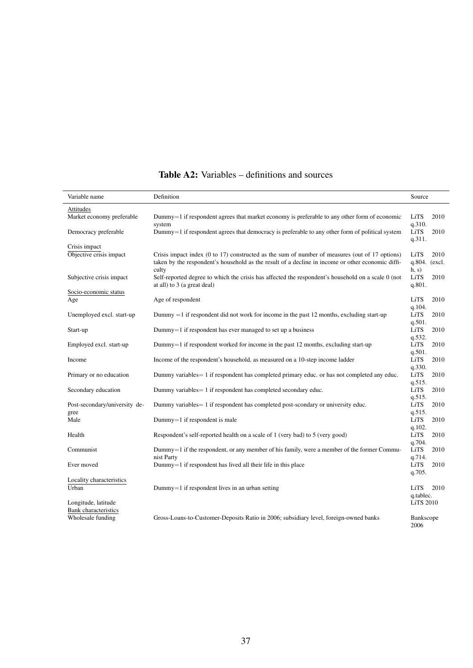<span id="page-37-0"></span>

| Variable name                            | Definition                                                                                                 | Source                        |
|------------------------------------------|------------------------------------------------------------------------------------------------------------|-------------------------------|
| Attitudes                                |                                                                                                            |                               |
| Market economy preferable                | Dummy = 1 if respondent agrees that market economy is preferable to any other form of economic             | LiTS<br>2010                  |
|                                          | system                                                                                                     | q.310.                        |
| Democracy preferable                     | Dummy = 1 if respondent agrees that democracy is preferable to any other form of political system          | LiTS<br>2010                  |
|                                          |                                                                                                            | q.311.                        |
| Crisis impact<br>Objective crisis impact | Crisis impact index (0 to 17) constructed as the sum of number of measures (out of 17 options)             | <b>LiTS</b><br>2010           |
|                                          | taken by the respondent's household as the result of a decline in income or other economic diffi-          | q.804. (excl.                 |
|                                          | culty                                                                                                      | h, s)                         |
| Subjective crisis impact                 | Self-reported degree to which the crisis has affected the respondent's household on a scale 0 (not         | LiTS<br>2010                  |
|                                          | at all) to 3 (a great deal)                                                                                | q.801.                        |
| Socio-economic status                    |                                                                                                            |                               |
| Age                                      | Age of respondent                                                                                          | LiTS<br>2010                  |
|                                          |                                                                                                            | q.104.                        |
| Unemployed excl. start-up                | Dummy $=1$ if respondent did not work for income in the past 12 months, excluding start-up                 | LiTS<br>2010<br>q.501.        |
| Start-up                                 | Dummy $=$ 1 if respondent has ever managed to set up a business                                            | <b>LiTS</b><br>2010           |
|                                          |                                                                                                            | q.532.                        |
| Employed excl. start-up                  | Dummy $=1$ if respondent worked for income in the past 12 months, excluding start-up                       | 2010<br>LiTS                  |
|                                          |                                                                                                            | q.501.                        |
| Income                                   | Income of the respondent's household, as measured on a 10-step income ladder                               | <b>LiTS</b><br>2010           |
|                                          |                                                                                                            | q.330.                        |
| Primary or no education                  | Dummy variables = 1 if respondent has completed primary educ. or has not completed any educ.               | LiTS<br>2010                  |
| Secondary education                      | Dummy variables = 1 if respondent has completed secondary educ.                                            | q.515.<br>LiTS<br>2010        |
|                                          |                                                                                                            | q.515.                        |
| Post-secondary/university de-            | Dummy variables $= 1$ if respondent has completed post-scondary or university educ.                        | LiTS<br>2010                  |
| gree                                     |                                                                                                            | q.515.                        |
| Male                                     | Dummy=1 if respondent is male                                                                              | LiTS<br>2010                  |
|                                          |                                                                                                            | q.102.                        |
| Health                                   | Respondent's self-reported health on a scale of 1 (very bad) to 5 (very good)                              | LiTS<br>2010                  |
|                                          |                                                                                                            | q.704.                        |
| Communist                                | Dummy = 1 if the respondent, or any member of his family, were a member of the former Commu-<br>nist Party | <b>LiTS</b><br>2010<br>q.714. |
| Ever moved                               | Dummy=1 if respondent has lived all their life in this place                                               | LiTS<br>2010                  |
|                                          |                                                                                                            | q.705.                        |
| Locality characteristics                 |                                                                                                            |                               |
| Urban                                    | Dummy $=$ 1 if respondent lives in an urban setting                                                        | LiTS<br>2010                  |
|                                          |                                                                                                            | q.tablec.                     |
| Longitude, latitude                      |                                                                                                            | <b>LiTS 2010</b>              |
| <b>Bank</b> characteristics              |                                                                                                            |                               |
| Wholesale funding                        | Gross-Loans-to-Customer-Deposits Ratio in 2006; subsidiary level, foreign-owned banks                      | Bankscope                     |
|                                          |                                                                                                            | 2006                          |

### Table A2: Variables – definitions and sources